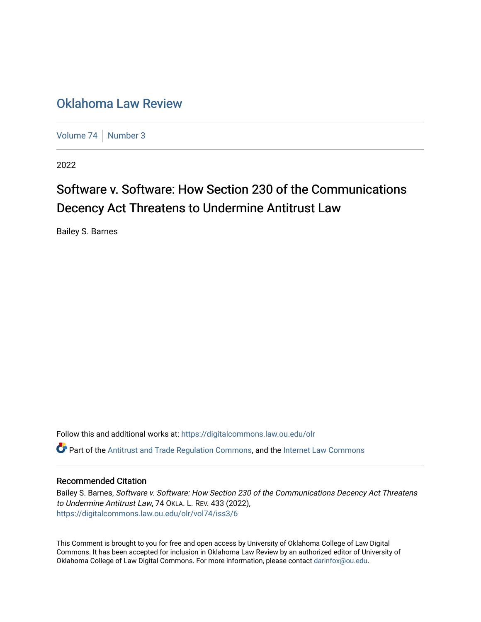## [Oklahoma Law Review](https://digitalcommons.law.ou.edu/olr)

[Volume 74](https://digitalcommons.law.ou.edu/olr/vol74) [Number 3](https://digitalcommons.law.ou.edu/olr/vol74/iss3)

2022

# Software v. Software: How Section 230 of the Communications Decency Act Threatens to Undermine Antitrust Law

Bailey S. Barnes

Follow this and additional works at: [https://digitalcommons.law.ou.edu/olr](https://digitalcommons.law.ou.edu/olr?utm_source=digitalcommons.law.ou.edu%2Folr%2Fvol74%2Fiss3%2F6&utm_medium=PDF&utm_campaign=PDFCoverPages)  $\bullet$  Part of the [Antitrust and Trade Regulation Commons,](https://network.bepress.com/hgg/discipline/911?utm_source=digitalcommons.law.ou.edu%2Folr%2Fvol74%2Fiss3%2F6&utm_medium=PDF&utm_campaign=PDFCoverPages) and the [Internet Law Commons](https://network.bepress.com/hgg/discipline/892?utm_source=digitalcommons.law.ou.edu%2Folr%2Fvol74%2Fiss3%2F6&utm_medium=PDF&utm_campaign=PDFCoverPages)

## Recommended Citation

Bailey S. Barnes, Software v. Software: How Section 230 of the Communications Decency Act Threatens to Undermine Antitrust Law, 74 OKLA. L. REV. 433 (2022), [https://digitalcommons.law.ou.edu/olr/vol74/iss3/6](https://digitalcommons.law.ou.edu/olr/vol74/iss3/6?utm_source=digitalcommons.law.ou.edu%2Folr%2Fvol74%2Fiss3%2F6&utm_medium=PDF&utm_campaign=PDFCoverPages) 

This Comment is brought to you for free and open access by University of Oklahoma College of Law Digital Commons. It has been accepted for inclusion in Oklahoma Law Review by an authorized editor of University of Oklahoma College of Law Digital Commons. For more information, please contact [darinfox@ou.edu.](mailto:darinfox@ou.edu)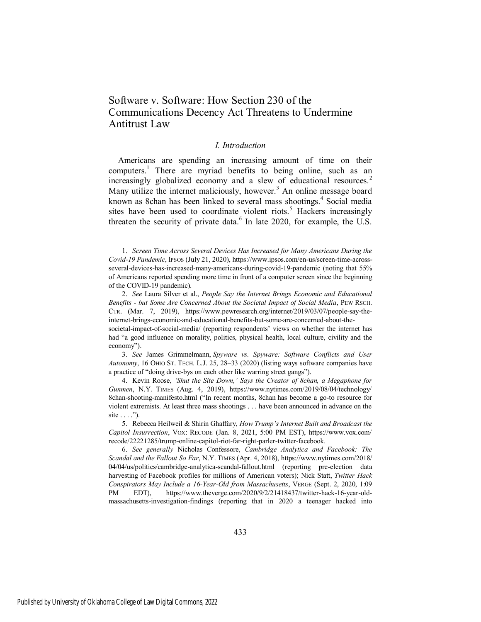## Software v. Software: How Section 230 of the Communications Decency Act Threatens to Undermine Antitrust Law

## *I. Introduction*

Americans are spending an increasing amount of time on their computers.<sup>1</sup> There are myriad benefits to being online, such as an increasingly globalized economy and a slew of educational resources.<sup>2</sup> Many utilize the internet maliciously, however.<sup>3</sup> An online message board known as 8chan has been linked to several mass shootings.<sup>4</sup> Social media sites have been used to coordinate violent riots.<sup>5</sup> Hackers increasingly threaten the security of private data. $<sup>6</sup>$  In late 2020, for example, the U.S.</sup>

3. *See* James Grimmelmann, *Spyware vs. Spyware: Software Conflicts and User Autonomy*, 16 OHIO ST. TECH. L.J. 25, 28–33 (2020) (listing ways software companies have a practice of "doing drive-bys on each other like warring street gangs").

4. Kevin Roose, *'Shut the Site Down,' Says the Creator of 8chan, a Megaphone for Gunmen*, N.Y. TIMES (Aug. 4, 2019), https://www.nytimes.com/2019/08/04/technology/ 8chan-shooting-manifesto.html ("In recent months, 8chan has become a go-to resource for violent extremists. At least three mass shootings . . . have been announced in advance on the site  $\dots$ ").

<sup>1.</sup> *Screen Time Across Several Devices Has Increased for Many Americans During the Covid-19 Pandemic*, IPSOS (July 21, 2020), https://www.ipsos.com/en-us/screen-time-acrossseveral-devices-has-increased-many-americans-during-covid-19-pandemic (noting that 55% of Americans reported spending more time in front of a computer screen since the beginning of the COVID-19 pandemic).

<sup>2.</sup> *See* Laura Silver et al., *People Say the Internet Brings Economic and Educational Benefits - but Some Are Concerned About the Societal Impact of Social Media*, PEW RSCH. CTR. (Mar. 7, 2019), https://www.pewresearch.org/internet/2019/03/07/people-say-theinternet-brings-economic-and-educational-benefits-but-some-are-concerned-about-the-

societal-impact-of-social-media/ (reporting respondents' views on whether the internet has had "a good influence on morality, politics, physical health, local culture, civility and the economy").

<sup>5.</sup> Rebecca Heilweil & Shirin Ghaffary, *How Trump's Internet Built and Broadcast the Capitol Insurrection*, VOX: RECODE (Jan. 8, 2021, 5:00 PM EST), https://www.vox.com/ recode/22221285/trump-online-capitol-riot-far-right-parler-twitter-facebook.

<sup>6.</sup> *See generally* Nicholas Confessore, *Cambridge Analytica and Facebook: The Scandal and the Fallout So Far*, N.Y. TIMES (Apr. 4, 2018), https://www.nytimes.com/2018/ 04/04/us/politics/cambridge-analytica-scandal-fallout.html (reporting pre-election data harvesting of Facebook profiles for millions of American voters); Nick Statt, *Twitter Hack Conspirators May Include a 16-Year-Old from Massachusetts*, VERGE (Sept. 2, 2020, 1:09 PM EDT), https://www.theverge.com/2020/9/2/21418437/twitter-hack-16-year-oldmassachusetts-investigation-findings (reporting that in 2020 a teenager hacked into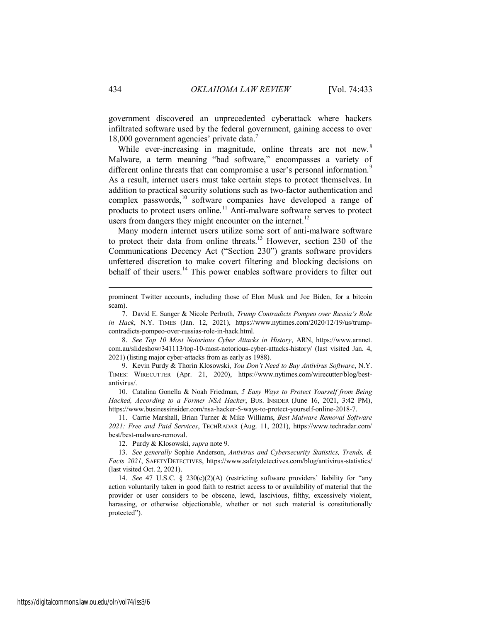government discovered an unprecedented cyberattack where hackers infiltrated software used by the federal government, gaining access to over 18,000 government agencies' private data. 7

While ever-increasing in magnitude, online threats are not new.<sup>8</sup> Malware, a term meaning "bad software," encompasses a variety of different online threats that can compromise a user's personal information.<sup>9</sup> As a result, internet users must take certain steps to protect themselves. In addition to practical security solutions such as two-factor authentication and complex passwords,  $10^{\circ}$  software companies have developed a range of products to protect users online.<sup>11</sup> Anti-malware software serves to protect users from dangers they might encounter on the internet.<sup>12</sup>

Many modern internet users utilize some sort of anti-malware software to protect their data from online threats.<sup>13</sup> However, section 230 of the Communications Decency Act ("Section 230") grants software providers unfettered discretion to make covert filtering and blocking decisions on behalf of their users.<sup>14</sup> This power enables software providers to filter out

7. David E. Sanger & Nicole Perlroth, *Trump Contradicts Pompeo over Russia's Role in Hack*, N.Y. TIMES (Jan. 12, 2021), https://www.nytimes.com/2020/12/19/us/trumpcontradicts-pompeo-over-russias-role-in-hack.html.

8. *See Top 10 Most Notorious Cyber Attacks in History*, ARN, https://www.arnnet. com.au/slideshow/341113/top-10-most-notorious-cyber-attacks-history/ (last visited Jan. 4, 2021) (listing major cyber-attacks from as early as 1988).

9. Kevin Purdy & Thorin Klosowski, *You Don't Need to Buy Antivirus Software*, N.Y. TIMES: WIRECUTTER (Apr. 21, 2020), https://www.nytimes.com/wirecutter/blog/bestantivirus/.

10. Catalina Gonella & Noah Friedman, *5 Easy Ways to Protect Yourself from Being Hacked, According to a Former NSA Hacker*, BUS. INSIDER (June 16, 2021, 3:42 PM), https://www.businessinsider.com/nsa-hacker-5-ways-to-protect-yourself-online-2018-7.

11. Carrie Marshall, Brian Turner & Mike Williams, *Best Malware Removal Software 2021: Free and Paid Services*, TECHRADAR (Aug. 11, 2021), https://www.techradar.com/ best/best-malware-removal.

12. Purdy & Klosowski, *supra* note 9.

13. *See generally* Sophie Anderson, *Antivirus and Cybersecurity Statistics, Trends, & Facts 2021*, SAFETYDETECTIVES, https://www.safetydetectives.com/blog/antivirus-statistics/ (last visited Oct. 2, 2021).

14. *See* 47 U.S.C. § 230(c)(2)(A) (restricting software providers' liability for "any action voluntarily taken in good faith to restrict access to or availability of material that the provider or user considers to be obscene, lewd, lascivious, filthy, excessively violent, harassing, or otherwise objectionable, whether or not such material is constitutionally protected").

prominent Twitter accounts, including those of Elon Musk and Joe Biden, for a bitcoin scam).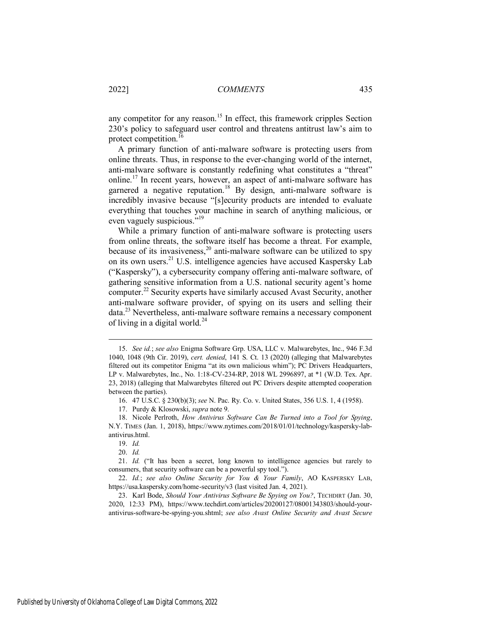any competitor for any reason.<sup>15</sup> In effect, this framework cripples Section 230's policy to safeguard user control and threatens antitrust law's aim to protect competition.<sup>16</sup>

A primary function of anti-malware software is protecting users from online threats. Thus, in response to the ever-changing world of the internet, anti-malware software is constantly redefining what constitutes a "threat" online.<sup>17</sup> In recent years, however, an aspect of anti-malware software has garnered a negative reputation.<sup>18</sup> By design, anti-malware software is incredibly invasive because "[s]ecurity products are intended to evaluate everything that touches your machine in search of anything malicious, or even vaguely suspicious."<sup>19</sup>

While a primary function of anti-malware software is protecting users from online threats, the software itself has become a threat. For example, because of its invasiveness,<sup>20</sup> anti-malware software can be utilized to spy on its own users.<sup>21</sup> U.S. intelligence agencies have accused Kaspersky Lab ("Kaspersky"), a cybersecurity company offering anti-malware software, of gathering sensitive information from a U.S. national security agent's home computer.<sup>22</sup> Security experts have similarly accused Avast Security, another anti-malware software provider, of spying on its users and selling their data.<sup>23</sup> Nevertheless, anti-malware software remains a necessary component of living in a digital world. $^{24}$ 

<sup>15.</sup> *See id.*; *see also* Enigma Software Grp. USA, LLC v. Malwarebytes, Inc., 946 F.3d 1040, 1048 (9th Cir. 2019), *cert. denied*, 141 S. Ct. 13 (2020) (alleging that Malwarebytes filtered out its competitor Enigma "at its own malicious whim"); PC Drivers Headquarters, LP v. Malwarebytes, Inc., No. 1:18-CV-234-RP, 2018 WL 2996897, at \*1 (W.D. Tex. Apr. 23, 2018) (alleging that Malwarebytes filtered out PC Drivers despite attempted cooperation between the parties).

<sup>16. 47</sup> U.S.C. § 230(b)(3); *see* N. Pac. Ry. Co. v. United States, 356 U.S. 1, 4 (1958).

<sup>17.</sup> Purdy & Klosowski, *supra* note 9.

<sup>18.</sup> Nicole Perlroth, *How Antivirus Software Can Be Turned into a Tool for Spying*, N.Y. TIMES (Jan. 1, 2018), https://www.nytimes.com/2018/01/01/technology/kaspersky-labantivirus.html.

<sup>19.</sup> *Id.*

<sup>20.</sup> *Id.*

<sup>21.</sup> *Id.* ("It has been a secret, long known to intelligence agencies but rarely to consumers, that security software can be a powerful spy tool.").

<sup>22.</sup> *Id.*; *see also Online Security for You & Your Family*, AO KASPERSKY LAB, https://usa.kaspersky.com/home-security/v3 (last visited Jan. 4, 2021).

<sup>23.</sup> Karl Bode, *Should Your Antivirus Software Be Spying on You?*, TECHDIRT (Jan. 30, 2020, 12:33 PM), https://www.techdirt.com/articles/20200127/08001343803/should-yourantivirus-software-be-spying-you.shtml; *see also Avast Online Security and Avast Secure*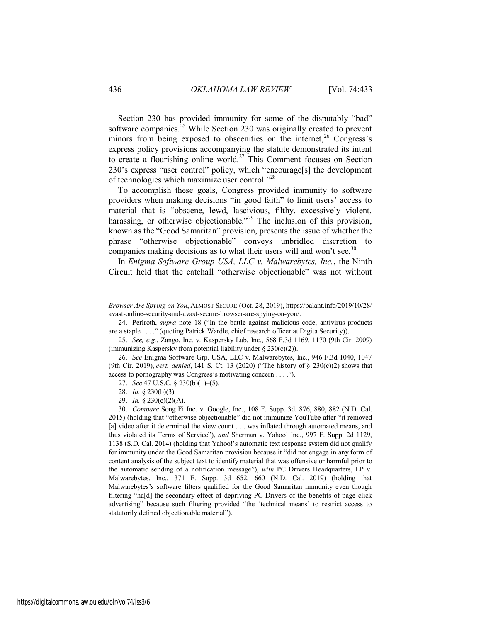Section 230 has provided immunity for some of the disputably "bad" software companies. $^{25}$  While Section 230 was originally created to prevent minors from being exposed to obscenities on the internet,<sup>26</sup> Congress's express policy provisions accompanying the statute demonstrated its intent to create a flourishing online world.<sup>27</sup> This Comment focuses on Section 230's express "user control" policy, which "encourage[s] the development of technologies which maximize user control."<sup>28</sup>

To accomplish these goals, Congress provided immunity to software providers when making decisions "in good faith" to limit users' access to material that is "obscene, lewd, lascivious, filthy, excessively violent, harassing, or otherwise objectionable."<sup>29</sup> The inclusion of this provision, known as the "Good Samaritan" provision, presents the issue of whether the phrase "otherwise objectionable" conveys unbridled discretion to companies making decisions as to what their users will and won't see.<sup>30</sup>

In *Enigma Software Group USA, LLC v. Malwarebytes, Inc.*, the Ninth Circuit held that the catchall "otherwise objectionable" was not without

*Browser Are Spying on You*, ALMOST SECURE (Oct. 28, 2019), https://palant.info/2019/10/28/ avast-online-security-and-avast-secure-browser-are-spying-on-you/.

<sup>24.</sup> Perlroth, *supra* note 18 ("In the battle against malicious code, antivirus products are a staple . . . ." (quoting Patrick Wardle, chief research officer at Digita Security)).

<sup>25.</sup> *See, e.g.*, Zango, Inc. v. Kaspersky Lab, Inc., 568 F.3d 1169, 1170 (9th Cir. 2009) (immunizing Kaspersky from potential liability under  $\S 230(c)(2)$ ).

<sup>26.</sup> *See* Enigma Software Grp. USA, LLC v. Malwarebytes, Inc., 946 F.3d 1040, 1047 (9th Cir. 2019), *cert. denied*, 141 S. Ct. 13 (2020) ("The history of § 230(c)(2) shows that access to pornography was Congress's motivating concern . . . .").

<sup>27.</sup> *See* 47 U.S.C. § 230(b)(1)–(5).

<sup>28.</sup> *Id.* § 230(b)(3).

<sup>29.</sup> *Id.* § 230(c)(2)(A).

<sup>30.</sup> *Compare* Song Fi Inc. v. Google, Inc., 108 F. Supp. 3d. 876, 880, 882 (N.D. Cal. 2015) (holding that "otherwise objectionable" did not immunize YouTube after "it removed [a] video after it determined the view count . . . was inflated through automated means, and thus violated its Terms of Service"), *and* Sherman v. Yahoo! Inc., 997 F. Supp. 2d 1129, 1138 (S.D. Cal. 2014) (holding that Yahoo!'s automatic text response system did not qualify for immunity under the Good Samaritan provision because it "did not engage in any form of content analysis of the subject text to identify material that was offensive or harmful prior to the automatic sending of a notification message"), *with* PC Drivers Headquarters, LP v. Malwarebytes, Inc., 371 F. Supp. 3d 652, 660 (N.D. Cal. 2019) (holding that Malwarebytes's software filters qualified for the Good Samaritan immunity even though filtering "ha[d] the secondary effect of depriving PC Drivers of the benefits of page-click advertising" because such filtering provided "the 'technical means' to restrict access to statutorily defined objectionable material").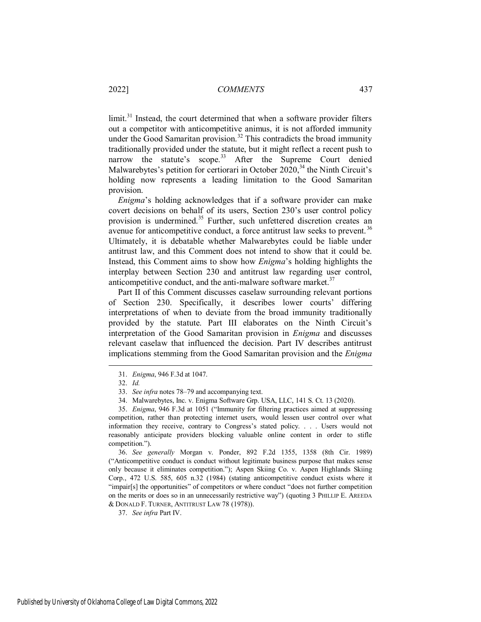limit.<sup>31</sup> Instead, the court determined that when a software provider filters out a competitor with anticompetitive animus, it is not afforded immunity under the Good Samaritan provision.<sup>32</sup> This contradicts the broad immunity traditionally provided under the statute, but it might reflect a recent push to narrow the statute's scope.<sup>33</sup> After the Supreme Court denied Malwarebytes's petition for certiorari in October 2020,<sup>34</sup> the Ninth Circuit's holding now represents a leading limitation to the Good Samaritan provision.

*Enigma*'s holding acknowledges that if a software provider can make covert decisions on behalf of its users, Section 230's user control policy provision is undermined.<sup>35</sup> Further, such unfettered discretion creates an avenue for anticompetitive conduct, a force antitrust law seeks to prevent.<sup>36</sup> Ultimately, it is debatable whether Malwarebytes could be liable under antitrust law, and this Comment does not intend to show that it could be. Instead, this Comment aims to show how *Enigma*'s holding highlights the interplay between Section 230 and antitrust law regarding user control, anticompetitive conduct, and the anti-malware software market.<sup>37</sup>

Part II of this Comment discusses caselaw surrounding relevant portions of Section 230. Specifically, it describes lower courts' differing interpretations of when to deviate from the broad immunity traditionally provided by the statute. Part III elaborates on the Ninth Circuit's interpretation of the Good Samaritan provision in *Enigma* and discusses relevant caselaw that influenced the decision. Part IV describes antitrust implications stemming from the Good Samaritan provision and the *Enigma*

 $\overline{a}$ 

36. *See generally* Morgan v. Ponder, 892 F.2d 1355, 1358 (8th Cir. 1989) ("Anticompetitive conduct is conduct without legitimate business purpose that makes sense only because it eliminates competition."); Aspen Skiing Co. v. Aspen Highlands Skiing Corp., 472 U.S. 585, 605 n.32 (1984) (stating anticompetitive conduct exists where it "impair[s] the opportunities" of competitors or where conduct "does not further competition on the merits or does so in an unnecessarily restrictive way") (quoting 3 PHILLIP E. AREEDA & DONALD F. TURNER, ANTITRUST LAW 78 (1978)).

37. *See infra* Part IV.

<sup>31.</sup> *Enigma*, 946 F.3d at 1047.

<sup>32.</sup> *Id.*

<sup>33.</sup> *See infra* note[s 78](#page-12-0)–[79](#page-12-1) and accompanying text.

<sup>34.</sup> Malwarebytes, Inc. v. Enigma Software Grp. USA, LLC, 141 S. Ct. 13 (2020).

<sup>35.</sup> *Enigma*, 946 F.3d at 1051 ("Immunity for filtering practices aimed at suppressing competition, rather than protecting internet users, would lessen user control over what information they receive, contrary to Congress's stated policy. . . . Users would not reasonably anticipate providers blocking valuable online content in order to stifle competition.").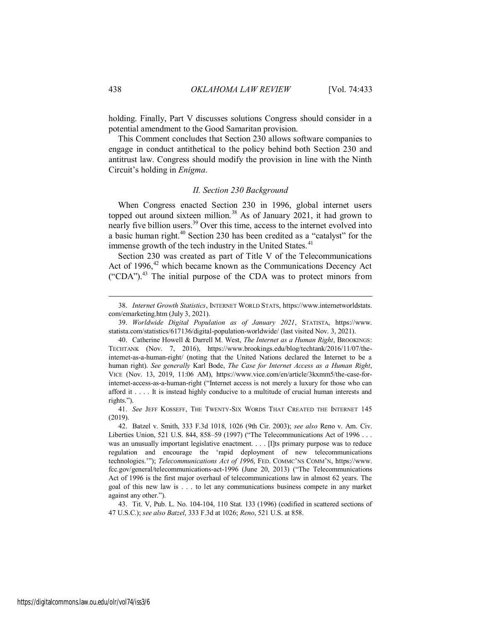holding. Finally, Part V discusses solutions Congress should consider in a potential amendment to the Good Samaritan provision.

This Comment concludes that Section 230 allows software companies to engage in conduct antithetical to the policy behind both Section 230 and antitrust law. Congress should modify the provision in line with the Ninth Circuit's holding in *Enigma*.

## *II. Section 230 Background*

When Congress enacted Section 230 in 1996, global internet users topped out around sixteen million.<sup>38</sup> As of January 2021, it had grown to nearly five billion users.<sup>39</sup> Over this time, access to the internet evolved into a basic human right.<sup>40</sup> Section 230 has been credited as a "catalyst" for the immense growth of the tech industry in the United States.<sup>41</sup>

Section 230 was created as part of Title V of the Telecommunications Act of 1996, $42$  which became known as the Communications Decency Act ("CDA").<sup>43</sup> The initial purpose of the CDA was to protect minors from

43. Tit. V, Pub. L. No. 104-104, 110 Stat. 133 (1996) (codified in scattered sections of 47 U.S.C.); *see also Batzel*, 333 F.3d at 1026; *Reno*, 521 U.S. at 858.

<sup>38.</sup> *Internet Growth Statistics*, INTERNET WORLD STATS, https://www.internetworldstats. com/emarketing.htm (July 3, 2021).

<sup>39.</sup> *Worldwide Digital Population as of January 2021*, STATISTA, https://www. statista.com/statistics/617136/digital-population-worldwide/ (last visited Nov. 3, 2021).

<sup>40.</sup> Catherine Howell & Darrell M. West, *The Internet as a Human Right*, BROOKINGS: TECHTANK (Nov. 7, 2016), https://www.brookings.edu/blog/techtank/2016/11/07/theinternet-as-a-human-right/ (noting that the United Nations declared the Internet to be a human right). *See generally* Karl Bode, *The Case for Internet Access as a Human Right*, VICE (Nov. 13, 2019, 11:06 AM), https://www.vice.com/en/article/3kxmm5/the-case-forinternet-access-as-a-human-right ("Internet access is not merely a luxury for those who can afford it . . . . It is instead highly conducive to a multitude of crucial human interests and rights.").

<sup>41.</sup> *See* JEFF KOSSEFF, THE TWENTY-SIX WORDS THAT CREATED THE INTERNET 145 (2019).

<sup>42.</sup> Batzel v. Smith, 333 F.3d 1018, 1026 (9th Cir. 2003); *see also* Reno v. Am. Civ. Liberties Union, 521 U.S. 844, 858–59 (1997) ("The Telecommunications Act of 1996 . . . was an unusually important legislative enactment. . . . [I]ts primary purpose was to reduce regulation and encourage the 'rapid deployment of new telecommunications technologies.'"); *Telecommunications Act of 1996*, FED. COMMC'NS COMM'N, https://www. fcc.gov/general/telecommunications-act-1996 (June 20, 2013) ("The Telecommunications Act of 1996 is the first major overhaul of telecommunications law in almost 62 years. The goal of this new law is . . . to let any communications business compete in any market against any other.").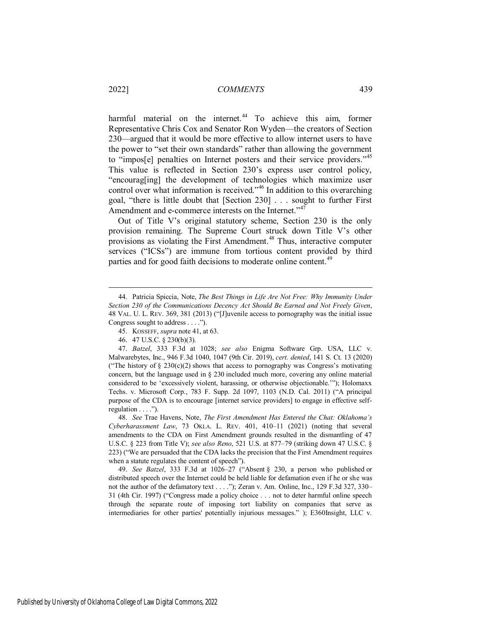harmful material on the internet.<sup>44</sup> To achieve this aim, former Representative Chris Cox and Senator Ron Wyden—the creators of Section 230—argued that it would be more effective to allow internet users to have the power to "set their own standards" rather than allowing the government to "impos[e] penalties on Internet posters and their service providers."<sup>45</sup> This value is reflected in Section 230's express user control policy, "encourag[ing] the development of technologies which maximize user control over what information is received.<sup>346</sup> In addition to this overarching goal, "there is little doubt that [Section 230] . . . sought to further First Amendment and e-commerce interests on the Internet."<sup>47</sup>

Out of Title V's original statutory scheme, Section 230 is the only provision remaining. The Supreme Court struck down Title V's other provisions as violating the First Amendment.<sup>48</sup> Thus, interactive computer services ("ICSs") are immune from tortious content provided by third parties and for good faith decisions to moderate online content.<sup>49</sup>

49. *See Batzel*, 333 F.3d at 1026–27 ("Absent § 230, a person who published or distributed speech over the Internet could be held liable for defamation even if he or she was not the author of the defamatory text . . . ."); Zeran v. Am. Online, Inc., 129 F.3d 327, 330– 31 (4th Cir. 1997) ("Congress made a policy choice . . . not to deter harmful online speech through the separate route of imposing tort liability on companies that serve as intermediaries for other parties' potentially injurious messages." ); E360Insight, LLC v.

<sup>44.</sup> Patricia Spiccia, Note, *The Best Things in Life Are Not Free: Why Immunity Under Section 230 of the Communications Decency Act Should Be Earned and Not Freely Given*, 48 VAL. U. L. REV. 369, 381 (2013) ("[J]uvenile access to pornography was the initial issue Congress sought to address . . . .").

<sup>45.</sup> KOSSEFF, *supra* note 41, at 63.

<sup>46. 47</sup> U.S.C. § 230(b)(3).

<sup>47.</sup> *Batzel*, 333 F.3d at 1028; *see also* Enigma Software Grp. USA, LLC v. Malwarebytes, Inc., 946 F.3d 1040, 1047 (9th Cir. 2019), *cert. denied*, 141 S. Ct. 13 (2020) ("The history of  $\S 230(c)(2)$  shows that access to pornography was Congress's motivating concern, but the language used in § 230 included much more, covering any online material considered to be 'excessively violent, harassing, or otherwise objectionable.'"); Holomaxx Techs. v. Microsoft Corp., 783 F. Supp. 2d 1097, 1103 (N.D. Cal. 2011) ("A principal purpose of the CDA is to encourage [internet service providers] to engage in effective selfregulation . . . .").

<sup>48.</sup> *See* Trae Havens, Note, *The First Amendment Has Entered the Chat: Oklahoma's Cyberharassment Law*, 73 OKLA. L. REV. 401, 410–11 (2021) (noting that several amendments to the CDA on First Amendment grounds resulted in the dismantling of 47 U.S.C. § 223 from Title V); *see also Reno*, 521 U.S. at 877–79 (striking down 47 U.S.C. § 223) ("We are persuaded that the CDA lacks the precision that the First Amendment requires when a statute regulates the content of speech").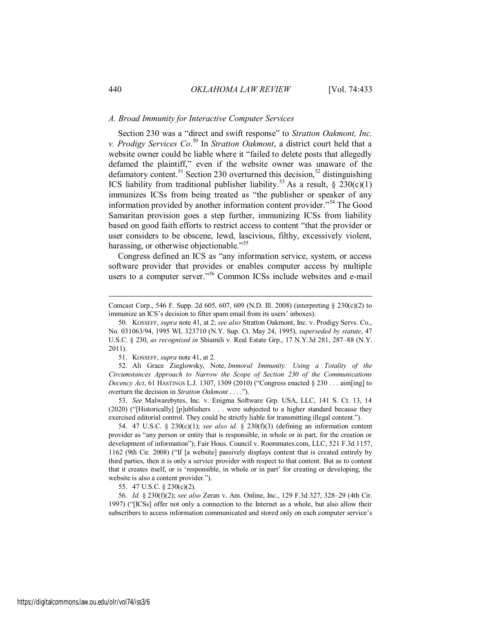## *A. Broad Immunity for Interactive Computer Services*

Section 230 was a "direct and swift response" to *Stratton Oakmont, Inc. v. Prodigy Services Co*. <sup>50</sup> In *Stratton Oakmont*, a district court held that a website owner could be liable where it "failed to delete posts that allegedly defamed the plaintiff," even if the website owner was unaware of the defamatory content.<sup>51</sup> Section 230 overturned this decision,<sup>52</sup> distinguishing ICS liability from traditional publisher liability.<sup>53</sup> As a result,  $\S$  230(c)(1) immunizes ICSs from being treated as "the publisher or speaker of any information provided by another information content provider."<sup>54</sup> The Good Samaritan provision goes a step further, immunizing ICSs from liability based on good faith efforts to restrict access to content "that the provider or user considers to be obscene, lewd, lascivious, filthy, excessively violent, harassing, or otherwise objectionable."<sup>55</sup>

Congress defined an ICS as "any information service, system, or access software provider that provides or enables computer access by multiple users to a computer server."<sup>56</sup> Common ICSs include websites and e-mail

51. KOSSEFF, *supra* note 41, at 2.

52. Ali Grace Zieglowsky, Note, *Immoral Immunity: Using a Totality of the Circumstances Approach to Narrow the Scope of Section 230 of the Communications Decency Act*, 61 HASTINGS L.J. 1307, 1309 (2010) ("Congress enacted  $\S 230$ ... aim[ing] to overturn the decision in *Stratton Oakmont* . . . .").

53. *See* Malwarebytes, Inc. v. Enigma Software Grp. USA, LLC, 141 S. Ct. 13, 14 (2020) ("[Historically] [p]ublishers . . . were subjected to a higher standard because they exercised editorial control. They could be strictly liable for transmitting illegal content.").

54. 47 U.S.C. § 230(c)(1); *see also id.* § 230(f)(3) (defining an information content provider as "any person or entity that is responsible, in whole or in part, for the creation or development of information"); Fair Hous. Council v. Roommates.com, LLC, 521 F.3d 1157, 1162 (9th Cir. 2008) ("If [a website] passively displays content that is created entirely by third parties, then it is only a service provider with respect to that content. But as to content that it creates itself, or is 'responsible, in whole or in part' for creating or developing, the website is also a content provider.").

55. 47 U.S.C. § 230(c)(2).

56. *Id.* § 230(f)(2); *see also* Zeran v. Am. Online, Inc., 129 F.3d 327, 328–29 (4th Cir. 1997) ("[ICSs] offer not only a connection to the Internet as a whole, but also allow their subscribers to access information communicated and stored only on each computer service's

Comcast Corp., 546 F. Supp. 2d 605, 607, 609 (N.D. Ill. 2008) (interpreting  $\S 230(c)(2)$  to immunize an ICS's decision to filter spam email from its users' inboxes).

<sup>50.</sup> KOSSEFF, *supra* note 41, at 2; *see also* Stratton Oakmont, Inc. v. Prodigy Servs. Co., No. 031063/94, 1995 WL 323710 (N.Y. Sup. Ct. May 24, 1995), *superseded by statute*, 47 U.S.C. § 230, *as recognized in* Shiamili v. Real Estate Grp., 17 N.Y.3d 281, 287–88 (N.Y. 2011).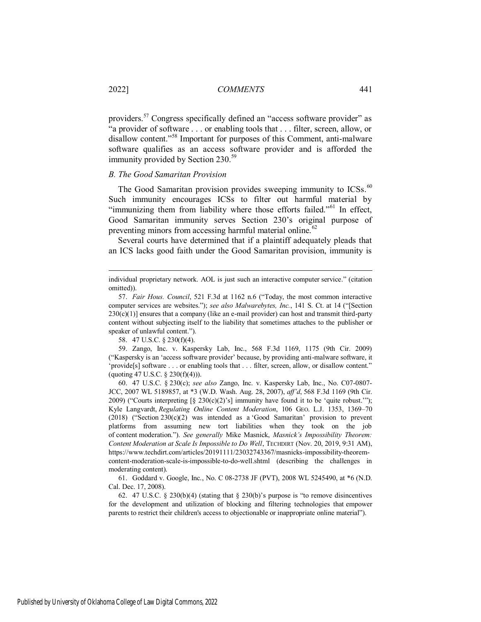providers.<sup>57</sup> Congress specifically defined an "access software provider" as "a provider of software . . . or enabling tools that . . . filter, screen, allow, or disallow content."<sup>58</sup> Important for purposes of this Comment, anti-malware software qualifies as an access software provider and is afforded the immunity provided by Section 230.<sup>59</sup>

## *B. The Good Samaritan Provision*

The Good Samaritan provision provides sweeping immunity to  $ICSs$ .<sup>60</sup> Such immunity encourages ICSs to filter out harmful material by "immunizing them from liability where those efforts failed."<sup>61</sup> In effect, Good Samaritan immunity serves Section 230's original purpose of preventing minors from accessing harmful material online.<sup>62</sup>

Several courts have determined that if a plaintiff adequately pleads that an ICS lacks good faith under the Good Samaritan provision, immunity is

58. 47 U.S.C. § 230(f)(4).

59. Zango, Inc. v. Kaspersky Lab, Inc., 568 F.3d 1169, 1175 (9th Cir. 2009) ("Kaspersky is an 'access software provider' because, by providing anti-malware software, it 'provide[s] software . . . or enabling tools that . . . filter, screen, allow, or disallow content." (quoting 47 U.S.C. § 230(f)(4))).

60. 47 U.S.C. § 230(c); *see also* Zango, Inc. v. Kaspersky Lab, Inc., No. C07-0807- JCC, 2007 WL 5189857, at \*3 (W.D. Wash. Aug. 28, 2007), *aff'd*, 568 F.3d 1169 (9th Cir. 2009) ("Courts interpreting  $\lbrack \S 230(c)(2) \rbrack s \rbrack$  immunity have found it to be 'quite robust.""); Kyle Langvardt, *Regulating Online Content Moderation*, 106 GEO. L.J. 1353, 1369–70  $(2018)$  ("Section 230(c)(2) was intended as a 'Good Samaritan' provision to prevent platforms from assuming new tort liabilities when they took on the job of content moderation."). *See generally* Mike Masnick, *Masnick's Impossibility Theorem: Content Moderation at Scale Is Impossible to Do Well*, TECHDIRT (Nov. 20, 2019, 9:31 AM), https://www.techdirt.com/articles/20191111/23032743367/masnicks-impossibility-theoremcontent-moderation-scale-is-impossible-to-do-well.shtml (describing the challenges in moderating content).

61. Goddard v. Google, Inc., No. C 08-2738 JF (PVT), 2008 WL 5245490, at \*6 (N.D. Cal. Dec. 17, 2008).

62. 47 U.S.C. § 230(b)(4) (stating that § 230(b)'s purpose is "to remove disincentives for the development and utilization of blocking and filtering technologies that empower parents to restrict their children's access to objectionable or inappropriate online material").

individual proprietary network. AOL is just such an interactive computer service." (citation omitted)).

<sup>57.</sup> *Fair Hous. Council*, 521 F.3d at 1162 n.6 ("Today, the most common interactive computer services are websites."); *see also Malwarebytes, Inc.*, 141 S. Ct. at 14 ("[Section  $230(c)(1)$ ] ensures that a company (like an e-mail provider) can host and transmit third-party content without subjecting itself to the liability that sometimes attaches to the publisher or speaker of unlawful content.").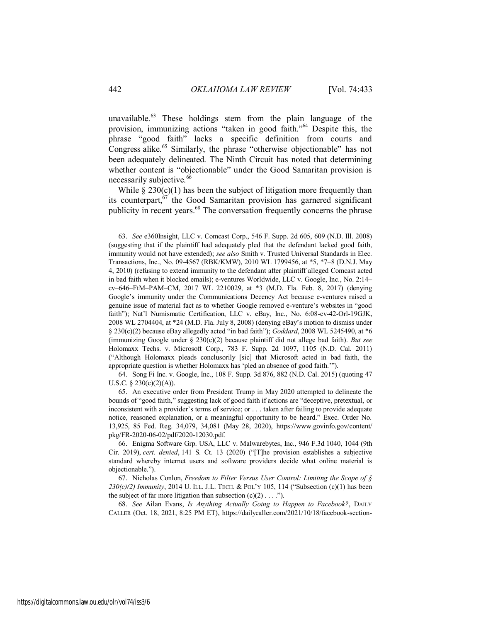unavailable.<sup>63</sup> These holdings stem from the plain language of the provision, immunizing actions "taken in good faith."<sup>64</sup> Despite this, the phrase "good faith" lacks a specific definition from courts and Congress alike.<sup>65</sup> Similarly, the phrase "otherwise objectionable" has not been adequately delineated. The Ninth Circuit has noted that determining whether content is "objectionable" under the Good Samaritan provision is necessarily subjective.<sup>66</sup>

While  $\S 230(c)(1)$  has been the subject of litigation more frequently than its counterpart,  $67$  the Good Samaritan provision has garnered significant publicity in recent years.<sup>68</sup> The conversation frequently concerns the phrase

64. Song Fi Inc. v. Google, Inc., 108 F. Supp. 3d 876, 882 (N.D. Cal. 2015) (quoting 47 U.S.C.  $\S$  230(c)(2)(A)).

68. *See* Ailan Evans, *Is Anything Actually Going to Happen to Facebook?*, DAILY CALLER (Oct. 18, 2021, 8:25 PM ET), https://dailycaller.com/2021/10/18/facebook-section-

<sup>63.</sup> *See* e360Insight, LLC v. Comcast Corp., 546 F. Supp. 2d 605, 609 (N.D. Ill. 2008) (suggesting that if the plaintiff had adequately pled that the defendant lacked good faith, immunity would not have extended); *see also* Smith v. Trusted Universal Standards in Elec. Transactions, Inc., No. 09-4567 (RBK/KMW), 2010 WL 1799456, at \*5, \*7–8 (D.N.J. May 4, 2010) (refusing to extend immunity to the defendant after plaintiff alleged Comcast acted in bad faith when it blocked emails); e-ventures Worldwide, LLC v. Google, Inc., No. 2:14– cv–646–FtM–PAM–CM, 2017 WL 2210029, at \*3 (M.D. Fla. Feb. 8, 2017) (denying Google's immunity under the Communications Decency Act because e-ventures raised a genuine issue of material fact as to whether Google removed e-venture's websites in "good faith"); Nat'l Numismatic Certification, LLC v. eBay, Inc., No. 6:08-cv-42-Orl-19GJK, 2008 WL 2704404, at \*24 (M.D. Fla. July 8, 2008) (denying eBay's motion to dismiss under § 230(c)(2) because eBay allegedly acted "in bad faith"); *Goddard*, 2008 WL 5245490, at \*6 (immunizing Google under § 230(c)(2) because plaintiff did not allege bad faith). *But see* Holomaxx Techs. v. Microsoft Corp., 783 F. Supp. 2d 1097, 1105 (N.D. Cal. 2011) ("Although Holomaxx pleads conclusorily [sic] that Microsoft acted in bad faith, the appropriate question is whether Holomaxx has 'pled an absence of good faith.'").

<sup>65.</sup> An executive order from President Trump in May 2020 attempted to delineate the bounds of "good faith," suggesting lack of good faith if actions are "deceptive, pretextual, or inconsistent with a provider's terms of service; or . . . taken after failing to provide adequate notice, reasoned explanation, or a meaningful opportunity to be heard." Exec. Order No. 13,925, 85 Fed. Reg. 34,079, 34,081 (May 28, 2020), https://www.govinfo.gov/content/ pkg/FR-2020-06-02/pdf/2020-12030.pdf.

<sup>66.</sup> Enigma Software Grp. USA, LLC v. Malwarebytes, Inc., 946 F.3d 1040, 1044 (9th Cir. 2019), *cert. denied*, 141 S. Ct. 13 (2020) ("[T]he provision establishes a subjective standard whereby internet users and software providers decide what online material is objectionable.").

<sup>67.</sup> Nicholas Conlon, *Freedom to Filter Versus User Control: Limiting the Scope of § 230(c)(2) Immunity*, 2014 U. ILL. J.L. TECH. & POL'Y 105, 114 ("Subsection (c)(1) has been the subject of far more litigation than subsection  $(c)(2) \ldots$ .").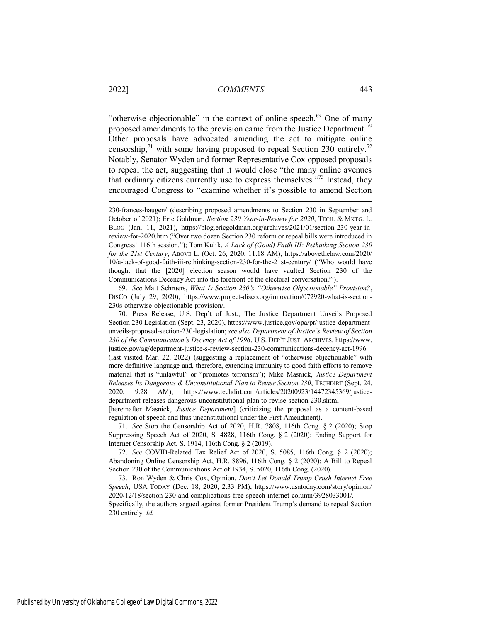"otherwise objectionable" in the context of online speech.<sup>69</sup> One of many proposed amendments to the provision came from the Justice Department.<sup>70</sup> Other proposals have advocated amending the act to mitigate online censorship,  $\frac{71}{1}$  with some having proposed to repeal Section 230 entirely.<sup>72</sup> Notably, Senator Wyden and former Representative Cox opposed proposals to repeal the act, suggesting that it would close "the many online avenues that ordinary citizens currently use to express themselves.<sup> $373$ </sup> Instead, they encouraged Congress to "examine whether it's possible to amend Section

69. *See* Matt Schruers, *What Is Section 230's "Otherwise Objectionable" Provision?*, DISCO (July 29, 2020), https://www.project-disco.org/innovation/072920-what-is-section-230s-otherwise-objectionable-provision/.

70. Press Release, U.S. Dep't of Just., The Justice Department Unveils Proposed Section 230 Legislation (Sept. 23, 2020), https://www.justice.gov/opa/pr/justice-departmentunveils-proposed-section-230-legislation; *see also Department of Justice's Review of Section 230 of the Communication's Decency Act of 1996*, U.S. DEP'T JUST. ARCHIVES, https://www. justice.gov/ag/department-justice-s-review-section-230-communications-decency-act-1996 (last visited Mar. 22, 2022) (suggesting a replacement of "otherwise objectionable" with more definitive language and, therefore, extending immunity to good faith efforts to remove material that is "unlawful" or "promotes terrorism"); Mike Masnick, *Justice Department Releases Its Dangerous & Unconstitutional Plan to Revise Section 230*, TECHDIRT (Sept. 24, 2020, 9:28 AM), https://www.techdirt.com/articles/20200923/14472345369/justicedepartment-releases-dangerous-unconstitutional-plan-to-revise-section-230.shtml [hereinafter Masnick, *Justice Department*] (criticizing the proposal as a content-based regulation of speech and thus unconstitutional under the First Amendment).

71. *See* Stop the Censorship Act of 2020, H.R. 7808, 116th Cong. § 2 (2020); Stop Suppressing Speech Act of 2020, S. 4828, 116th Cong. § 2 (2020); Ending Support for Internet Censorship Act, S. 1914, 116th Cong. § 2 (2019).

72. *See* COVID-Related Tax Relief Act of 2020, S. 5085, 116th Cong. § 2 (2020); Abandoning Online Censorship Act, H.R. 8896, 116th Cong. § 2 (2020); A Bill to Repeal Section 230 of the Communications Act of 1934, S. 5020, 116th Cong. (2020).

73. Ron Wyden & Chris Cox, Opinion, *Don't Let Donald Trump Crush Internet Free Speech*, USA TODAY (Dec. 18, 2020, 2:33 PM), https://www.usatoday.com/story/opinion/ 2020/12/18/section-230-and-complications-free-speech-internet-column/3928033001/. Specifically, the authors argued against former President Trump's demand to repeal Section 230 entirely. *Id.*

<sup>230-</sup>frances-haugen/ (describing proposed amendments to Section 230 in September and October of 2021); Eric Goldman, *Section 230 Year-in-Review for 2020*, TECH. & MKTG. L. BLOG (Jan. 11, 2021), https://blog.ericgoldman.org/archives/2021/01/section-230-year-inreview-for-2020.htm ("Over two dozen Section 230 reform or repeal bills were introduced in Congress' 116th session."); Tom Kulik, *A Lack of (Good) Faith III: Rethinking Section 230 for the 21st Century*, ABOVE L. (Oct. 26, 2020, 11:18 AM), https://abovethelaw.com/2020/ 10/a-lack-of-good-faith-iii-rethinking-section-230-for-the-21st-century/ ("Who would have thought that the [2020] election season would have vaulted Section 230 of the Communications Decency Act into the forefront of the electoral conversation?").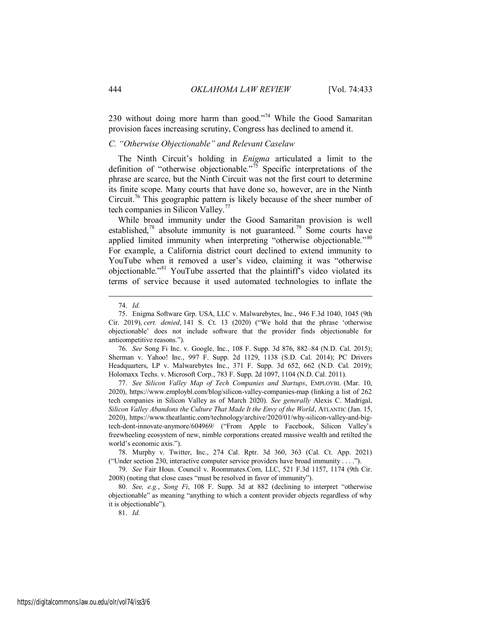230 without doing more harm than good."<sup>74</sup> While the Good Samaritan provision faces increasing scrutiny, Congress has declined to amend it.

## *C. "Otherwise Objectionable" and Relevant Caselaw*

The Ninth Circuit's holding in *Enigma* articulated a limit to the definition of "otherwise objectionable."<sup>75</sup> Specific interpretations of the phrase are scarce, but the Ninth Circuit was not the first court to determine its finite scope. Many courts that have done so, however, are in the Ninth Circuit.<sup>76</sup> This geographic pattern is likely because of the sheer number of tech companies in Silicon Valley.<sup>77</sup>

<span id="page-12-1"></span><span id="page-12-0"></span>While broad immunity under the Good Samaritan provision is well established,<sup>78</sup> absolute immunity is not guaranteed.<sup>79</sup> Some courts have applied limited immunity when interpreting "otherwise objectionable."<sup>80</sup> For example, a California district court declined to extend immunity to YouTube when it removed a user's video, claiming it was "otherwise objectionable."<sup>81</sup> YouTube asserted that the plaintiff's video violated its terms of service because it used automated technologies to inflate the

 $\overline{a}$ 

76. *See* Song Fi Inc. v. Google, Inc., 108 F. Supp. 3d 876, 882–84 (N.D. Cal. 2015); Sherman v. Yahoo! Inc., 997 F. Supp. 2d 1129, 1138 (S.D. Cal. 2014); PC Drivers Headquarters, LP v. Malwarebytes Inc., 371 F. Supp. 3d 652, 662 (N.D. Cal. 2019); Holomaxx Techs. v. Microsoft Corp., 783 F. Supp. 2d 1097, 1104 (N.D. Cal. 2011).

77. *See Silicon Valley Map of Tech Companies and Startups*, EMPLOYBL (Mar. 10, 2020), https://www.employbl.com/blog/silicon-valley-companies-map (linking a list of 262 tech companies in Silicon Valley as of March 2020). *See generally* Alexis C. Madrigal, *Silicon Valley Abandons the Culture That Made It the Envy of the World*, ATLANTIC (Jan. 15, 2020), https://www.theatlantic.com/technology/archive/2020/01/why-silicon-valley-and-bigtech-dont-innovate-anymore/604969/ ("From Apple to Facebook, Silicon Valley's freewheeling ecosystem of new, nimble corporations created massive wealth and retilted the world's economic axis.").

78. Murphy v. Twitter, Inc., 274 Cal. Rptr. 3d 360, 363 (Cal. Ct. App. 2021) ("Under section 230, interactive computer service providers have broad immunity . . . .").

79. *See* Fair Hous. Council v. Roommates.Com, LLC, 521 F.3d 1157, 1174 (9th Cir. 2008) (noting that close cases "must be resolved in favor of immunity").

80. *See, e.g.*, *Song Fi*, 108 F. Supp. 3d at 882 (declining to interpret "otherwise objectionable" as meaning "anything to which a content provider objects regardless of why it is objectionable").

81. *Id.*

<sup>74.</sup> *Id.*

<sup>75.</sup> Enigma Software Grp. USA, LLC v. Malwarebytes, Inc., 946 F.3d 1040, 1045 (9th Cir. 2019), *cert. denied*, 141 S. Ct. 13 (2020) ("We hold that the phrase 'otherwise objectionable' does not include software that the provider finds objectionable for anticompetitive reasons.").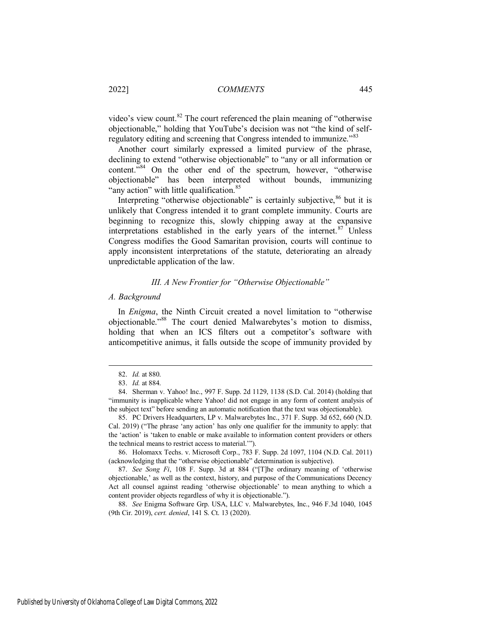video's view count.<sup>82</sup> The court referenced the plain meaning of "otherwise" objectionable," holding that YouTube's decision was not "the kind of selfregulatory editing and screening that Congress intended to immunize."<sup>83</sup>

Another court similarly expressed a limited purview of the phrase, declining to extend "otherwise objectionable" to "any or all information or content.<sup>784</sup> On the other end of the spectrum, however, "otherwise" objectionable" has been interpreted without bounds, immunizing "any action" with little qualification.<sup>85</sup>

Interpreting "otherwise objectionable" is certainly subjective,  $86$  but it is unlikely that Congress intended it to grant complete immunity. Courts are beginning to recognize this, slowly chipping away at the expansive interpretations established in the early years of the internet. $87$  Unless Congress modifies the Good Samaritan provision, courts will continue to apply inconsistent interpretations of the statute, deteriorating an already unpredictable application of the law.

## *III. A New Frontier for "Otherwise Objectionable"*

#### *A. Background*

In *Enigma*, the Ninth Circuit created a novel limitation to "otherwise objectionable."<sup>88</sup> The court denied Malwarebytes's motion to dismiss, holding that when an ICS filters out a competitor's software with anticompetitive animus, it falls outside the scope of immunity provided by

 $\overline{a}$ 

88. *See* Enigma Software Grp. USA, LLC v. Malwarebytes, Inc., 946 F.3d 1040, 1045 (9th Cir. 2019), *cert. denied*, 141 S. Ct. 13 (2020).

<sup>82.</sup> *Id.* at 880.

<sup>83.</sup> *Id.* at 884.

<sup>84.</sup> Sherman v. Yahoo! Inc., 997 F. Supp. 2d 1129, 1138 (S.D. Cal. 2014) (holding that "immunity is inapplicable where Yahoo! did not engage in any form of content analysis of the subject text" before sending an automatic notification that the text was objectionable).

<sup>85.</sup> PC Drivers Headquarters, LP v. Malwarebytes Inc., 371 F. Supp. 3d 652, 660 (N.D. Cal. 2019) ("The phrase 'any action' has only one qualifier for the immunity to apply: that the 'action' is 'taken to enable or make available to information content providers or others the technical means to restrict access to material.'").

<sup>86.</sup> Holomaxx Techs. v. Microsoft Corp., 783 F. Supp. 2d 1097, 1104 (N.D. Cal. 2011) (acknowledging that the "otherwise objectionable" determination is subjective).

<sup>87.</sup> *See Song Fi*, 108 F. Supp. 3d at 884 ("[T]he ordinary meaning of 'otherwise objectionable,' as well as the context, history, and purpose of the Communications Decency Act all counsel against reading 'otherwise objectionable' to mean anything to which a content provider objects regardless of why it is objectionable.").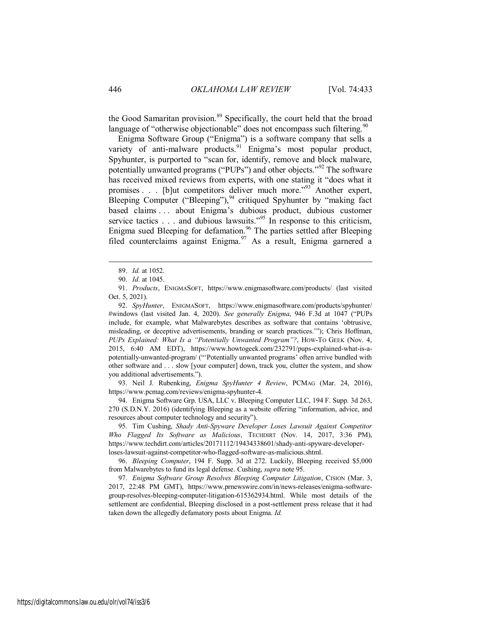the Good Samaritan provision.<sup>89</sup> Specifically, the court held that the broad language of "otherwise objectionable" does not encompass such filtering.  $\frac{90}{2}$ 

Enigma Software Group ("Enigma") is a software company that sells a variety of anti-malware products.<sup>91</sup> Enigma's most popular product, Spyhunter, is purported to "scan for, identify, remove and block malware, potentially unwanted programs ("PUPs") and other objects."<sup>92</sup> The software has received mixed reviews from experts, with one stating it "does what it promises . . . [b]ut competitors deliver much more."<sup>93</sup> Another expert, Bleeping Computer ("Bleeping"),  $94$  critiqued Spyhunter by "making fact based claims . . . about Enigma's dubious product, dubious customer service tactics  $\ldots$  and dubious lawsuits.<sup>"95</sup> In response to this criticism, Enigma sued Bleeping for defamation.<sup>96</sup> The parties settled after Bleeping filed counterclaims against Enigma.<sup>97</sup> As a result, Enigma garnered a

 $\overline{a}$ 

92. *SpyHunter*, ENIGMASOFT, https://www.enigmasoftware.com/products/spyhunter/ #windows (last visited Jan. 4, 2020). *See generally Enigma*, 946 F.3d at 1047 ("PUPs include, for example, what Malwarebytes describes as software that contains 'obtrusive, misleading, or deceptive advertisements, branding or search practices.'"); Chris Hoffman, *PUPs Explained: What Is a "Potentially Unwanted Program"?*, HOW-TO GEEK (Nov. 4, 2015, 6:40 AM EDT), https://www.howtogeek.com/232791/pups-explained-what-is-apotentially-unwanted-program/ ("'Potentially unwanted programs' often arrive bundled with other software and . . . slow [your computer] down, track you, clutter the system, and show you additional advertisements.").

93. Neil J. Rubenking, *Enigma SpyHunter 4 Review*, PCMAG (Mar. 24, 2016), https://www.pcmag.com/reviews/enigma-spyhunter-4.

94. Enigma Software Grp. USA, LLC v. Bleeping Computer LLC, 194 F. Supp. 3d 263, 270 (S.D.N.Y. 2016) (identifying Bleeping as a website offering "information, advice, and resources about computer technology and security").

95. Tim Cushing, *Shady Anti-Spyware Developer Loses Lawsuit Against Competitor Who Flagged Its Software as Malicious*, TECHDIRT (Nov. 14, 2017, 3:36 PM), https://www.techdirt.com/articles/20171112/19434338601/shady-anti-spyware-developerloses-lawsuit-against-competitor-who-flagged-software-as-malicious.shtml.

96. *Bleeping Computer*, 194 F. Supp. 3d at 272. Luckily, Bleeping received \$5,000 from Malwarebytes to fund its legal defense. Cushing, *supra* note 95.

97. *Enigma Software Group Resolves Bleeping Computer Litigation*, CISION (Mar. 3, 2017, 22:48 PM GMT), https://www.prnewswire.com/in/news-releases/enigma-softwaregroup-resolves-bleeping-computer-litigation-615362934.html. While most details of the settlement are confidential, Bleeping disclosed in a post-settlement press release that it had taken down the allegedly defamatory posts about Enigma. *Id.*

<sup>89.</sup> *Id.* at 1052.

<sup>90.</sup> *Id.* at 1045.

<sup>91.</sup> *Products*, ENIGMASOFT, https://www.enigmasoftware.com/products/ (last visited Oct. 5, 2021).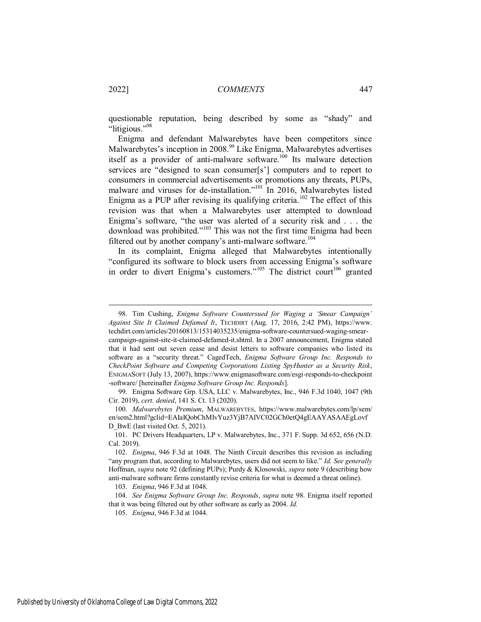questionable reputation, being described by some as "shady" and "litigious."<sup>98</sup>

Enigma and defendant Malwarebytes have been competitors since Malwarebytes's inception in 2008.<sup>99</sup> Like Enigma, Malwarebytes advertises itself as a provider of anti-malware software.<sup>100</sup> Its malware detection services are "designed to scan consumer[s'] computers and to report to consumers in commercial advertisements or promotions any threats, PUPs, malware and viruses for de-installation."<sup>101</sup> In 2016, Malwarebytes listed Enigma as a PUP after revising its qualifying criteria.<sup>102</sup> The effect of this revision was that when a Malwarebytes user attempted to download Enigma's software, "the user was alerted of a security risk and . . . the download was prohibited."<sup>103</sup> This was not the first time Enigma had been filtered out by another company's anti-malware software.<sup>104</sup>

In its complaint, Enigma alleged that Malwarebytes intentionally "configured its software to block users from accessing Enigma's software in order to divert Enigma's customers."<sup>105</sup> The district court<sup>106</sup> granted

99. Enigma Software Grp. USA, LLC v. Malwarebytes, Inc., 946 F.3d 1040, 1047 (9th Cir. 2019), *cert. denied*, 141 S. Ct. 13 (2020).

100. *Malwarebytes Premium*, MALWAREBYTES, https://www.malwarebytes.com/lp/sem/ en/sem2.html?gclid=EAIaIQobChMIvYuz3YjB7AIVC02GCh0etQ4gEAAYASAAEgLovf D BwE (last visited Oct. 5, 2021).

101. PC Drivers Headquarters, LP v. Malwarebytes, Inc., 371 F. Supp. 3d 652, 656 (N.D. Cal. 2019).

102. *Enigma*, 946 F.3d at 1048. The Ninth Circuit describes this revision as including "any program that, according to Malwarebytes, users did not seem to like." *Id. See generally* Hoffman, *supra* note 92 (defining PUPs); Purdy & Klosowski, *supra* note 9 (describing how anti-malware software firms constantly revise criteria for what is deemed a threat online).

103. *Enigma*, 946 F.3d at 1048.

104. *See Enigma Software Group Inc. Responds*, *supra* note 98. Enigma itself reported that it was being filtered out by other software as early as 2004. *Id.*

105. *Enigma*, 946 F.3d at 1044.

<sup>98.</sup> Tim Cushing, *Enigma Software Countersued for Waging a 'Smear Campaign' Against Site It Claimed Defamed It*, TECHDIRT (Aug. 17, 2016, 2:42 PM), https://www. techdirt.com/articles/20160813/15314035235/enigma-software-countersued-waging-smearcampaign-against-site-it-claimed-defamed-it.shtml. In a 2007 announcement, Enigma stated that it had sent out seven cease and desist letters to software companies who listed its software as a "security threat." CagedTech, *Enigma Software Group Inc. Responds to CheckPoint Software and Competing Corporations Listing SpyHunter as a Security Risk*, ENIGMASOFT (July 13, 2007), https://www.enigmasoftware.com/esgi-responds-to-checkpoint -software/ [hereinafter *Enigma Software Group Inc. Responds*].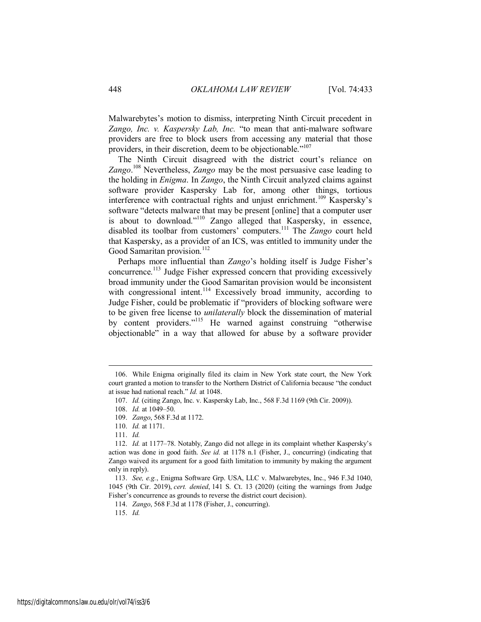Malwarebytes's motion to dismiss, interpreting Ninth Circuit precedent in *Zango, Inc. v. Kaspersky Lab, Inc.* "to mean that anti-malware software providers are free to block users from accessing any material that those providers, in their discretion, deem to be objectionable."<sup>107</sup>

The Ninth Circuit disagreed with the district court's reliance on *Zango*. <sup>108</sup> Nevertheless, *Zango* may be the most persuasive case leading to the holding in *Enigma*. In *Zango*, the Ninth Circuit analyzed claims against software provider Kaspersky Lab for, among other things, tortious interference with contractual rights and unjust enrichment.<sup>109</sup> Kaspersky's software "detects malware that may be present [online] that a computer user is about to download."<sup>110</sup> Zango alleged that Kaspersky, in essence, disabled its toolbar from customers' computers.<sup>111</sup> The *Zango* court held that Kaspersky, as a provider of an ICS, was entitled to immunity under the Good Samaritan provision.<sup>112</sup>

Perhaps more influential than *Zango*'s holding itself is Judge Fisher's concurrence.<sup>113</sup> Judge Fisher expressed concern that providing excessively broad immunity under the Good Samaritan provision would be inconsistent with congressional intent.<sup>114</sup> Excessively broad immunity, according to Judge Fisher, could be problematic if "providers of blocking software were to be given free license to *unilaterally* block the dissemination of material by content providers."<sup>115</sup> He warned against construing "otherwise objectionable" in a way that allowed for abuse by a software provider

<sup>106.</sup> While Enigma originally filed its claim in New York state court, the New York court granted a motion to transfer to the Northern District of California because "the conduct at issue had national reach." *Id.* at 1048.

<sup>107.</sup> *Id.* (citing Zango, Inc. v. Kaspersky Lab, Inc., 568 F.3d 1169 (9th Cir. 2009)).

<sup>108.</sup> *Id.* at 1049–50.

<sup>109.</sup> *Zango*, 568 F.3d at 1172.

<sup>110.</sup> *Id.* at 1171.

<sup>111.</sup> *Id.*

<sup>112.</sup> *Id.* at 1177–78. Notably, Zango did not allege in its complaint whether Kaspersky's action was done in good faith. *See id.* at 1178 n.1 (Fisher, J., concurring) (indicating that Zango waived its argument for a good faith limitation to immunity by making the argument only in reply).

<sup>113.</sup> *See, e.g.*, Enigma Software Grp. USA, LLC v. Malwarebytes, Inc., 946 F.3d 1040, 1045 (9th Cir. 2019), *cert. denied*, 141 S. Ct. 13 (2020) (citing the warnings from Judge Fisher's concurrence as grounds to reverse the district court decision).

<sup>114.</sup> *Zango*, 568 F.3d at 1178 (Fisher, J., concurring).

<sup>115.</sup> *Id.*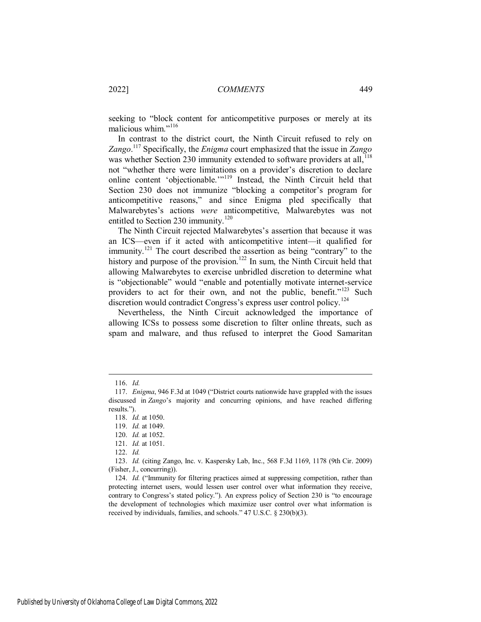seeking to "block content for anticompetitive purposes or merely at its malicious whim."<sup>116</sup>

In contrast to the district court, the Ninth Circuit refused to rely on *Zango*. <sup>117</sup> Specifically, the *Enigma* court emphasized that the issue in *Zango* was whether Section 230 immunity extended to software providers at all,<sup>118</sup> not "whether there were limitations on a provider's discretion to declare online content 'objectionable.'"<sup>119</sup> Instead, the Ninth Circuit held that Section 230 does not immunize "blocking a competitor's program for anticompetitive reasons," and since Enigma pled specifically that Malwarebytes's actions *were* anticompetitive, Malwarebytes was not entitled to Section 230 immunity.<sup>120</sup>

The Ninth Circuit rejected Malwarebytes's assertion that because it was an ICS—even if it acted with anticompetitive intent—it qualified for immunity.<sup>121</sup> The court described the assertion as being "contrary" to the history and purpose of the provision.<sup>122</sup> In sum, the Ninth Circuit held that allowing Malwarebytes to exercise unbridled discretion to determine what is "objectionable" would "enable and potentially motivate internet-service providers to act for their own, and not the public, benefit."<sup>123</sup> Such discretion would contradict Congress's express user control policy.<sup>124</sup>

Nevertheless, the Ninth Circuit acknowledged the importance of allowing ICSs to possess some discretion to filter online threats, such as spam and malware, and thus refused to interpret the Good Samaritan

<sup>116.</sup> *Id.*

<sup>117.</sup> *Enigma*, 946 F.3d at 1049 ("District courts nationwide have grappled with the issues discussed in *Zango*'s majority and concurring opinions, and have reached differing results.").

<sup>118.</sup> *Id.* at 1050.

<sup>119.</sup> *Id.* at 1049.

<sup>120.</sup> *Id.* at 1052.

<sup>121.</sup> *Id.* at 1051.

<sup>122.</sup> *Id.*

<sup>123.</sup> *Id.* (citing Zango, Inc. v. Kaspersky Lab, Inc., 568 F.3d 1169, 1178 (9th Cir. 2009) (Fisher, J., concurring)).

<sup>124.</sup> *Id.* ("Immunity for filtering practices aimed at suppressing competition, rather than protecting internet users, would lessen user control over what information they receive, contrary to Congress's stated policy."). An express policy of Section 230 is "to encourage the development of technologies which maximize user control over what information is received by individuals, families, and schools." 47 U.S.C. § 230(b)(3).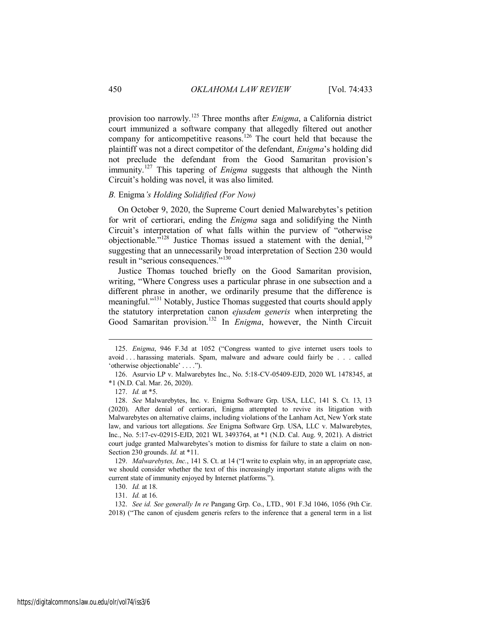provision too narrowly.<sup>125</sup> Three months after *Enigma*, a California district court immunized a software company that allegedly filtered out another company for anticompetitive reasons.<sup>126</sup> The court held that because the plaintiff was not a direct competitor of the defendant, *Enigma*'s holding did not preclude the defendant from the Good Samaritan provision's immunity.<sup>127</sup> This tapering of *Enigma* suggests that although the Ninth Circuit's holding was novel, it was also limited.

## *B.* Enigma*'s Holding Solidified (For Now)*

On October 9, 2020, the Supreme Court denied Malwarebytes's petition for writ of certiorari, ending the *Enigma* saga and solidifying the Ninth Circuit's interpretation of what falls within the purview of "otherwise objectionable. $\frac{128}{128}$  Justice Thomas issued a statement with the denial,  $129$ suggesting that an unnecessarily broad interpretation of Section 230 would result in "serious consequences."<sup>130</sup>

Justice Thomas touched briefly on the Good Samaritan provision, writing, "Where Congress uses a particular phrase in one subsection and a different phrase in another, we ordinarily presume that the difference is meaningful."<sup>131</sup> Notably, Justice Thomas suggested that courts should apply the statutory interpretation canon *ejusdem generis* when interpreting the Good Samaritan provision.<sup>132</sup> In *Enigma*, however, the Ninth Circuit

 $\overline{a}$ 

129. *Malwarebytes, Inc.*, 141 S. Ct. at 14 ("I write to explain why, in an appropriate case, we should consider whether the text of this increasingly important statute aligns with the current state of immunity enjoyed by Internet platforms.").

130. *Id.* at 18.

131. *Id.* at 16.

132. *See id. See generally In re* Pangang Grp. Co., LTD., 901 F.3d 1046, 1056 (9th Cir. 2018) ("The canon of ejusdem generis refers to the inference that a general term in a list

<sup>125.</sup> *Enigma*, 946 F.3d at 1052 ("Congress wanted to give internet users tools to avoid . . . harassing materials. Spam, malware and adware could fairly be . . . called 'otherwise objectionable' . . . .").

<sup>126.</sup> Asurvio LP v. Malwarebytes Inc., No. 5:18-CV-05409-EJD, 2020 WL 1478345, at \*1 (N.D. Cal. Mar. 26, 2020).

<sup>127.</sup> *Id.* at \*5.

<sup>128.</sup> *See* Malwarebytes, Inc. v. Enigma Software Grp. USA, LLC, 141 S. Ct. 13, 13 (2020). After denial of certiorari, Enigma attempted to revive its litigation with Malwarebytes on alternative claims, including violations of the Lanham Act, New York state law, and various tort allegations. *See* Enigma Software Grp. USA, LLC v. Malwarebytes, Inc., No. 5:17-cv-02915-EJD, 2021 WL 3493764, at \*1 (N.D. Cal. Aug. 9, 2021). A district court judge granted Malwarebytes's motion to dismiss for failure to state a claim on non-Section 230 grounds. *Id.* at \*11.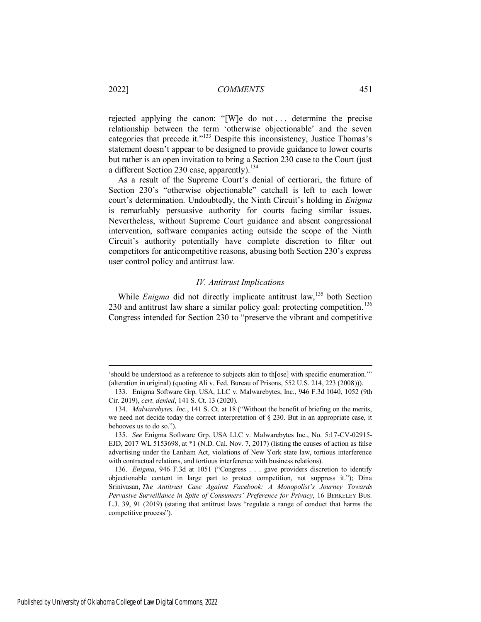rejected applying the canon: "[W]e do not . . . determine the precise relationship between the term 'otherwise objectionable' and the seven categories that precede it."<sup>133</sup> Despite this inconsistency, Justice Thomas's statement doesn't appear to be designed to provide guidance to lower courts but rather is an open invitation to bring a Section 230 case to the Court (just a different Section 230 case, apparently).<sup>134</sup>

As a result of the Supreme Court's denial of certiorari, the future of Section 230's "otherwise objectionable" catchall is left to each lower court's determination. Undoubtedly, the Ninth Circuit's holding in *Enigma* is remarkably persuasive authority for courts facing similar issues. Nevertheless, without Supreme Court guidance and absent congressional intervention, software companies acting outside the scope of the Ninth Circuit's authority potentially have complete discretion to filter out competitors for anticompetitive reasons, abusing both Section 230's express user control policy and antitrust law.

## *IV. Antitrust Implications*

While *Enigma* did not directly implicate antitrust law,<sup>135</sup> both Section 230 and antitrust law share a similar policy goal: protecting competition.<sup>136</sup> Congress intended for Section 230 to "preserve the vibrant and competitive

<sup>&#</sup>x27;should be understood as a reference to subjects akin to th[ose] with specific enumeration.'" (alteration in original) (quoting Ali v. Fed. Bureau of Prisons, 552 U.S. 214, 223 (2008))).

<sup>133.</sup> Enigma Software Grp. USA, LLC v. Malwarebytes, Inc., 946 F.3d 1040, 1052 (9th Cir. 2019), *cert. denied*, 141 S. Ct. 13 (2020).

<sup>134.</sup> *Malwarebytes, Inc.*, 141 S. Ct. at 18 ("Without the benefit of briefing on the merits, we need not decide today the correct interpretation of § 230. But in an appropriate case, it behooves us to do so.").

<sup>135.</sup> *See* Enigma Software Grp. USA LLC v. Malwarebytes Inc., No. 5:17-CV-02915- EJD, 2017 WL 5153698, at \*1 (N.D. Cal. Nov. 7, 2017) (listing the causes of action as false advertising under the Lanham Act, violations of New York state law, tortious interference with contractual relations, and tortious interference with business relations).

<sup>136.</sup> *Enigma*, 946 F.3d at 1051 ("Congress . . . gave providers discretion to identify objectionable content in large part to protect competition, not suppress it."); Dina Srinivasan, *The Antitrust Case Against Facebook: A Monopolist's Journey Towards Pervasive Surveillance in Spite of Consumers' Preference for Privacy*, 16 BERKELEY BUS. L.J. 39, 91 (2019) (stating that antitrust laws "regulate a range of conduct that harms the competitive process").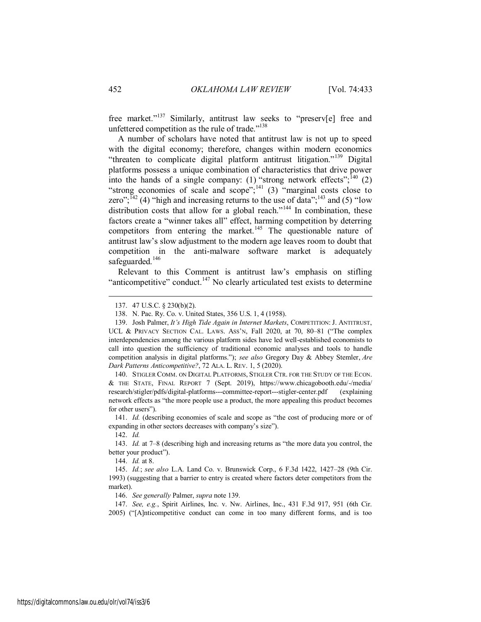free market."<sup>137</sup> Similarly, antitrust law seeks to "preserv[e] free and unfettered competition as the rule of trade."<sup>138</sup>

A number of scholars have noted that antitrust law is not up to speed with the digital economy; therefore, changes within modern economics "threaten to complicate digital platform antitrust litigation."<sup>139</sup> Digital platforms possess a unique combination of characteristics that drive power into the hands of a single company: (1) "strong network effects";  $^{140}$  (2) "strong economies of scale and scope"; $^{141}$  (3) "marginal costs close to zero";  $^{142}$  (4) "high and increasing returns to the use of data";  $^{143}$  and (5) "low distribution costs that allow for a global reach."<sup>144</sup> In combination, these factors create a "winner takes all" effect, harming competition by deterring competitors from entering the market.<sup>145</sup> The questionable nature of antitrust law's slow adjustment to the modern age leaves room to doubt that competition in the anti-malware software market is adequately safeguarded.<sup>146</sup>

Relevant to this Comment is antitrust law's emphasis on stifling "anticompetitive" conduct.<sup>147</sup> No clearly articulated test exists to determine

140. STIGLER COMM. ON DIGITAL PLATFORMS, STIGLER CTR. FOR THE STUDY OF THE ECON. & THE STATE, FINAL REPORT 7 (Sept. 2019), https://www.chicagobooth.edu/-/media/ research/stigler/pdfs/digital-platforms---committee-report---stigler-center.pdf (explaining network effects as "the more people use a product, the more appealing this product becomes for other users").

142. *Id.*

 $\overline{a}$ 

144. *Id.* at 8.

146. *See generally* Palmer, *supra* note 139.

147. *See, e.g.*, Spirit Airlines, Inc. v. Nw. Airlines, Inc., 431 F.3d 917, 951 (6th Cir. 2005) ("[A]nticompetitive conduct can come in too many different forms, and is too

<sup>137. 47</sup> U.S.C. § 230(b)(2).

<sup>138.</sup> N. Pac. Ry. Co. v. United States, 356 U.S. 1, 4 (1958).

<sup>139.</sup> Josh Palmer, *It's High Tide Again in Internet Markets*, COMPETITION: J. ANTITRUST, UCL & PRIVACY SECTION CAL. LAWS. ASS'N, Fall 2020, at 70, 80–81 ("The complex interdependencies among the various platform sides have led well-established economists to call into question the sufficiency of traditional economic analyses and tools to handle competition analysis in digital platforms."); *see also* Gregory Day & Abbey Stemler, *Are Dark Patterns Anticompetitive?*, 72 ALA. L. REV. 1, 5 (2020).

<sup>141.</sup> *Id.* (describing economies of scale and scope as "the cost of producing more or of expanding in other sectors decreases with company's size").

<sup>143.</sup> *Id.* at 7–8 (describing high and increasing returns as "the more data you control, the better your product").

<sup>145.</sup> *Id.*; *see also* L.A. Land Co. v. Brunswick Corp., 6 F.3d 1422, 1427–28 (9th Cir. 1993) (suggesting that a barrier to entry is created where factors deter competitors from the market).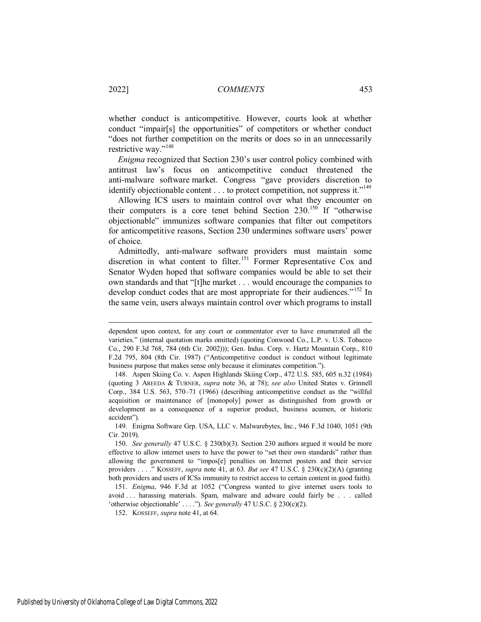whether conduct is anticompetitive. However, courts look at whether conduct "impair[s] the opportunities" of competitors or whether conduct "does not further competition on the merits or does so in an unnecessarily restrictive way."<sup>148</sup>

*Enigma* recognized that Section 230's user control policy combined with antitrust law's focus on anticompetitive conduct threatened the anti-malware software market. Congress "gave providers discretion to identify objectionable content  $\dots$  to protect competition, not suppress it."<sup>149</sup>

Allowing ICS users to maintain control over what they encounter on their computers is a core tenet behind Section  $230^{150}$  If "otherwise objectionable" immunizes software companies that filter out competitors for anticompetitive reasons, Section 230 undermines software users' power of choice.

Admittedly, anti-malware software providers must maintain some discretion in what content to filter.<sup>151</sup> Former Representative Cox and Senator Wyden hoped that software companies would be able to set their own standards and that "[t]he market . . . would encourage the companies to develop conduct codes that are most appropriate for their audiences."<sup>152</sup> In the same vein, users always maintain control over which programs to install

152. KOSSEFF, *supra* note 41, at 64.

dependent upon context, for any court or commentator ever to have enumerated all the varieties." (internal quotation marks omitted) (quoting Conwood Co., L.P. v. U.S. Tobacco Co., 290 F.3d 768, 784 (6th Cir. 2002))); Gen. Indus. Corp. v. Hartz Mountain Corp., 810 F.2d 795, 804 (8th Cir. 1987) ("Anticompetitive conduct is conduct without legitimate business purpose that makes sense only because it eliminates competition.").

<sup>148.</sup> Aspen Skiing Co. v. Aspen Highlands Skiing Corp., 472 U.S. 585, 605 n.32 (1984) (quoting 3 AREEDA & TURNER, *supra* note 36, at 78); *see also* United States v. Grinnell Corp., 384 U.S. 563, 570–71 (1966) (describing anticompetitive conduct as the "willful acquisition or maintenance of [monopoly] power as distinguished from growth or development as a consequence of a superior product, business acumen, or historic accident").

<sup>149.</sup> Enigma Software Grp. USA, LLC v. Malwarebytes, Inc., 946 F.3d 1040, 1051 (9th Cir. 2019).

<sup>150.</sup> *See generally* 47 U.S.C. § 230(b)(3). Section 230 authors argued it would be more effective to allow internet users to have the power to "set their own standards" rather than allowing the government to "impos[e] penalties on Internet posters and their service providers . . . ." KOSSEFF, *supra* note 41, at 63. *But see* 47 U.S.C. § 230(c)(2)(A) (granting both providers and users of ICSs immunity to restrict access to certain content in good faith).

<sup>151.</sup> *Enigma*, 946 F.3d at 1052 ("Congress wanted to give internet users tools to avoid . . . harassing materials. Spam, malware and adware could fairly be . . . called 'otherwise objectionable' . . . ."). *See generally* 47 U.S.C. § 230(c)(2).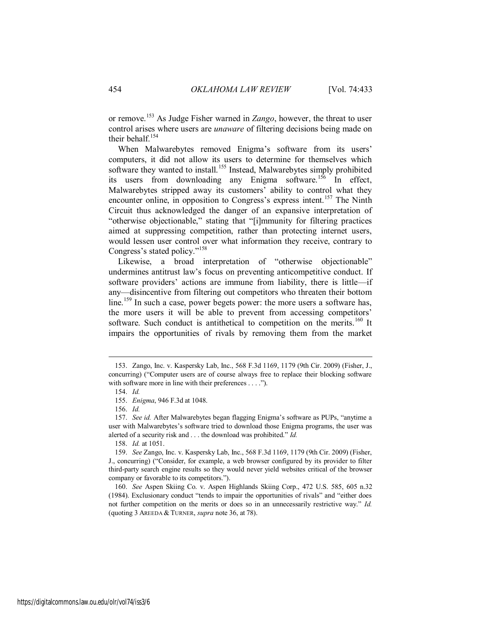or remove.<sup>153</sup> As Judge Fisher warned in *Zango*, however, the threat to user control arises where users are *unaware* of filtering decisions being made on their behalf.<sup>154</sup>

When Malwarebytes removed Enigma's software from its users' computers, it did not allow its users to determine for themselves which software they wanted to install.<sup>155</sup> Instead, Malwarebytes simply prohibited its users from downloading any Enigma software.<sup>156</sup> In effect, Malwarebytes stripped away its customers' ability to control what they encounter online, in opposition to Congress's express intent.<sup>157</sup> The Ninth Circuit thus acknowledged the danger of an expansive interpretation of "otherwise objectionable," stating that "[i]mmunity for filtering practices aimed at suppressing competition, rather than protecting internet users, would lessen user control over what information they receive, contrary to Congress's stated policy."<sup>158</sup>

Likewise, a broad interpretation of "otherwise objectionable" undermines antitrust law's focus on preventing anticompetitive conduct. If software providers' actions are immune from liability, there is little—if any—disincentive from filtering out competitors who threaten their bottom line.<sup>159</sup> In such a case, power begets power: the more users a software has, the more users it will be able to prevent from accessing competitors' software. Such conduct is antithetical to competition on the merits.<sup>160</sup> It impairs the opportunities of rivals by removing them from the market

<sup>153.</sup> Zango, Inc. v. Kaspersky Lab, Inc., 568 F.3d 1169, 1179 (9th Cir. 2009) (Fisher, J., concurring) ("Computer users are of course always free to replace their blocking software with software more in line with their preferences . . . .").

<sup>154.</sup> *Id.*

<sup>155.</sup> *Enigma*, 946 F.3d at 1048.

<sup>156.</sup> *Id.*

<sup>157.</sup> *See id.* After Malwarebytes began flagging Enigma's software as PUPs, "anytime a user with Malwarebytes's software tried to download those Enigma programs, the user was alerted of a security risk and . . . the download was prohibited." *Id.* 

<sup>158.</sup> *Id.* at 1051.

<sup>159.</sup> *See* Zango, Inc. v. Kaspersky Lab, Inc., 568 F.3d 1169, 1179 (9th Cir. 2009) (Fisher, J., concurring) ("Consider, for example, a web browser configured by its provider to filter third-party search engine results so they would never yield websites critical of the browser company or favorable to its competitors.").

<sup>160.</sup> *See* Aspen Skiing Co. v. Aspen Highlands Skiing Corp., 472 U.S. 585, 605 n.32 (1984). Exclusionary conduct "tends to impair the opportunities of rivals" and "either does not further competition on the merits or does so in an unnecessarily restrictive way." *Id.* (quoting 3 AREEDA & TURNER, *supra* note 36, at 78).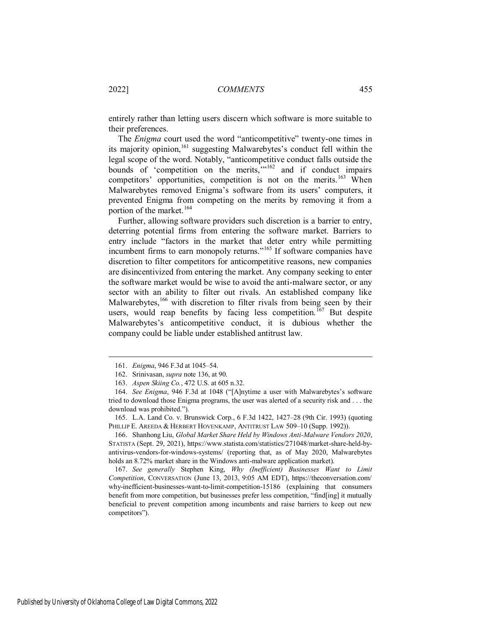entirely rather than letting users discern which software is more suitable to their preferences.

The *Enigma* court used the word "anticompetitive" twenty-one times in its majority opinion,  $161$  suggesting Malwarebytes's conduct fell within the legal scope of the word. Notably, "anticompetitive conduct falls outside the bounds of 'competition on the merits,  $m^{162}$  and if conduct impairs competitors' opportunities, competition is not on the merits.<sup>163</sup> When Malwarebytes removed Enigma's software from its users' computers, it prevented Enigma from competing on the merits by removing it from a portion of the market.<sup>164</sup>

Further, allowing software providers such discretion is a barrier to entry, deterring potential firms from entering the software market. Barriers to entry include "factors in the market that deter entry while permitting incumbent firms to earn monopoly returns."<sup>165</sup> If software companies have discretion to filter competitors for anticompetitive reasons, new companies are disincentivized from entering the market. Any company seeking to enter the software market would be wise to avoid the anti-malware sector, or any sector with an ability to filter out rivals. An established company like Malwarebytes,<sup>166</sup> with discretion to filter rivals from being seen by their users, would reap benefits by facing less competition.<sup>167</sup> But despite Malwarebytes's anticompetitive conduct, it is dubious whether the company could be liable under established antitrust law.

<sup>161.</sup> *Enigma*, 946 F.3d at 1045–54.

<sup>162.</sup> Srinivasan, *supra* note 136, at 90.

<sup>163.</sup> *Aspen Skiing Co.*, 472 U.S. at 605 n.32.

<sup>164.</sup> *See Enigma*, 946 F.3d at 1048 ("[A]nytime a user with Malwarebytes's software tried to download those Enigma programs, the user was alerted of a security risk and . . . the download was prohibited.").

<sup>165.</sup> L.A. Land Co. v. Brunswick Corp., 6 F.3d 1422, 1427–28 (9th Cir. 1993) (quoting PHILLIP E. AREEDA & HERBERT HOVENKAMP, ANTITRUST LAW 509-10 (Supp. 1992)).

<sup>166.</sup> Shanhong Liu, *Global Market Share Held by Windows Anti-Malware Vendors 2020*, STATISTA (Sept. 29, 2021), https://www.statista.com/statistics/271048/market-share-held-byantivirus-vendors-for-windows-systems/ (reporting that, as of May 2020, Malwarebytes holds an 8.72% market share in the Windows anti-malware application market).

<sup>167.</sup> *See generally* Stephen King, *Why (Inefficient) Businesses Want to Limit Competition*, CONVERSATION (June 13, 2013, 9:05 AM EDT), https://theconversation.com/ why-inefficient-businesses-want-to-limit-competition-15186 (explaining that consumers benefit from more competition, but businesses prefer less competition, "find[ing] it mutually beneficial to prevent competition among incumbents and raise barriers to keep out new competitors").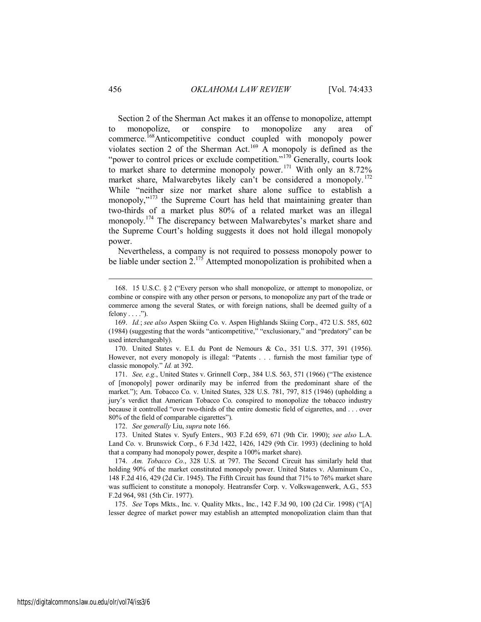Section 2 of the Sherman Act makes it an offense to monopolize, attempt to monopolize, or conspire to monopolize any area commerce.<sup>168</sup>Anticompetitive conduct coupled with monopoly power violates section 2 of the Sherman Act.<sup>169</sup> A monopoly is defined as the "power to control prices or exclude competition."<sup>170</sup> Generally, courts look to market share to determine monopoly power.<sup>171</sup> With only an 8.72% market share, Malwarebytes likely can't be considered a monopoly.<sup>172</sup> While "neither size nor market share alone suffice to establish a monopoly,"<sup>173</sup> the Supreme Court has held that maintaining greater than two-thirds of a market plus 80% of a related market was an illegal monopoly.<sup>174</sup> The discrepancy between Malwarebytes's market share and the Supreme Court's holding suggests it does not hold illegal monopoly power.

Nevertheless, a company is not required to possess monopoly power to be liable under section  $2^{175}$  Attempted monopolization is prohibited when a

172. *See generally* Liu, *supra* note 166.

173. United States v. Syufy Enters., 903 F.2d 659, 671 (9th Cir. 1990); *see also* L.A. Land Co. v. Brunswick Corp., 6 F.3d 1422, 1426, 1429 (9th Cir. 1993) (declining to hold that a company had monopoly power, despite a 100% market share).

174. *Am. Tobacco Co.*, 328 U.S. at 797. The Second Circuit has similarly held that holding 90% of the market constituted monopoly power. United States v. Aluminum Co., 148 F.2d 416, 429 (2d Cir. 1945). The Fifth Circuit has found that 71% to 76% market share was sufficient to constitute a monopoly. Heatransfer Corp. v. Volkswagenwerk, A.G., 553 F.2d 964, 981 (5th Cir. 1977).

175. *See* Tops Mkts., Inc. v. Quality Mkts., Inc., 142 F.3d 90, 100 (2d Cir. 1998) ("[A] lesser degree of market power may establish an attempted monopolization claim than that

<sup>168. 15</sup> U.S.C. § 2 ("Every person who shall monopolize, or attempt to monopolize, or combine or conspire with any other person or persons, to monopolize any part of the trade or commerce among the several States, or with foreign nations, shall be deemed guilty of a felony  $\dots$ .").

<sup>169.</sup> *Id.*; *see also* Aspen Skiing Co. v. Aspen Highlands Skiing Corp., 472 U.S. 585, 602 (1984) (suggesting that the words "anticompetitive," "exclusionary," and "predatory" can be used interchangeably).

<sup>170.</sup> United States v. E.I. du Pont de Nemours & Co., 351 U.S. 377, 391 (1956). However, not every monopoly is illegal: "Patents . . . furnish the most familiar type of classic monopoly." *Id.* at 392.

<sup>171.</sup> *See, e.g.*, United States v. Grinnell Corp., 384 U.S. 563, 571 (1966) ("The existence of [monopoly] power ordinarily may be inferred from the predominant share of the market."); Am. Tobacco Co. v. United States, 328 U.S. 781, 797, 815 (1946) (upholding a jury's verdict that American Tobacco Co. conspired to monopolize the tobacco industry because it controlled "over two-thirds of the entire domestic field of cigarettes, and . . . over 80% of the field of comparable cigarettes").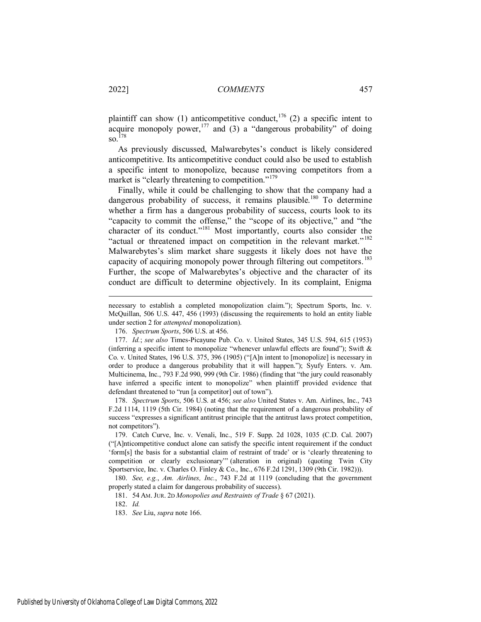plaintiff can show (1) anticompetitive conduct,<sup>176</sup> (2) a specific intent to acquire monopoly power,  $177$  and (3) a "dangerous probability" of doing  $\mathrm{so.}^{\bar{1}78}$ 

As previously discussed, Malwarebytes's conduct is likely considered anticompetitive. Its anticompetitive conduct could also be used to establish a specific intent to monopolize, because removing competitors from a market is "clearly threatening to competition."<sup>179</sup>

Finally, while it could be challenging to show that the company had a dangerous probability of success, it remains plausible.<sup>180</sup> To determine whether a firm has a dangerous probability of success, courts look to its "capacity to commit the offense," the "scope of its objective," and "the character of its conduct."<sup>181</sup> Most importantly, courts also consider the "actual or threatened impact on competition in the relevant market."<sup>182</sup> Malwarebytes's slim market share suggests it likely does not have the capacity of acquiring monopoly power through filtering out competitors.<sup>183</sup> Further, the scope of Malwarebytes's objective and the character of its conduct are difficult to determine objectively. In its complaint, Enigma

178. *Spectrum Sports*, 506 U.S. at 456; *see also* United States v. Am. Airlines, Inc., 743 F.2d 1114, 1119 (5th Cir. 1984) (noting that the requirement of a dangerous probability of success "expresses a significant antitrust principle that the antitrust laws protect competition, not competitors").

179. Catch Curve, Inc. v. Venali, Inc., 519 F. Supp. 2d 1028, 1035 (C.D. Cal. 2007) ("[A]nticompetitive conduct alone can satisfy the specific intent requirement if the conduct 'form[s] the basis for a substantial claim of restraint of trade' or is 'clearly threatening to competition or clearly exclusionary'" (alteration in original) (quoting Twin City Sportservice, Inc. v. Charles O. Finley & Co., Inc., 676 F.2d 1291, 1309 (9th Cir. 1982))).

180. *See, e.g.*, *Am. Airlines, Inc.*, 743 F.2d at 1119 (concluding that the government properly stated a claim for dangerous probability of success).

181. 54 AM. JUR. 2D *Monopolies and Restraints of Trade* § 67 (2021).

182. *Id.*

183. *See* Liu, *supra* note 166.

necessary to establish a completed monopolization claim."); Spectrum Sports, Inc. v. McQuillan, 506 U.S. 447, 456 (1993) (discussing the requirements to hold an entity liable under section 2 for *attempted* monopolization).

<sup>176.</sup> *Spectrum Sports*, 506 U.S. at 456.

<sup>177.</sup> *Id.*; *see also* Times-Picayune Pub. Co. v. United States, 345 U.S. 594, 615 (1953) (inferring a specific intent to monopolize "whenever unlawful effects are found"); Swift  $\&$ Co. v. United States, 196 U.S. 375, 396 (1905) ("[A]n intent to [monopolize] is necessary in order to produce a dangerous probability that it will happen."); Syufy Enters. v. Am. Multicinema, Inc., 793 F.2d 990, 999 (9th Cir. 1986) (finding that "the jury could reasonably have inferred a specific intent to monopolize" when plaintiff provided evidence that defendant threatened to "run [a competitor] out of town").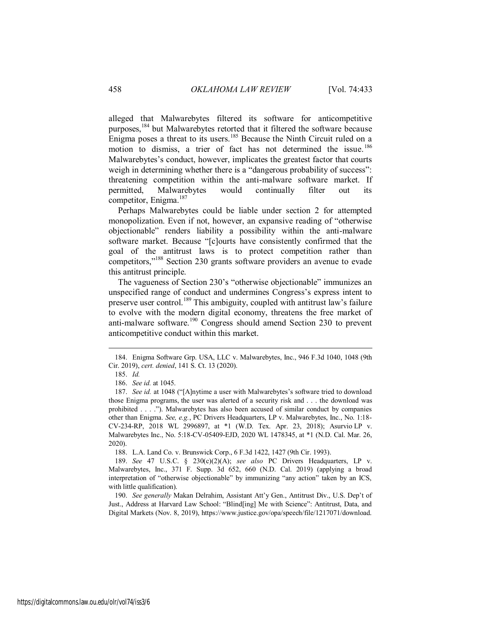alleged that Malwarebytes filtered its software for anticompetitive purposes,<sup>184</sup> but Malwarebytes retorted that it filtered the software because Enigma poses a threat to its users.<sup>185</sup> Because the Ninth Circuit ruled on a motion to dismiss, a trier of fact has not determined the issue.<sup>186</sup> Malwarebytes's conduct, however, implicates the greatest factor that courts weigh in determining whether there is a "dangerous probability of success": threatening competition within the anti-malware software market. If permitted, Malwarebytes would continually filter out its competitor, Enigma.<sup>187</sup>

Perhaps Malwarebytes could be liable under section 2 for attempted monopolization. Even if not, however, an expansive reading of "otherwise objectionable" renders liability a possibility within the anti-malware software market. Because "[c]ourts have consistently confirmed that the goal of the antitrust laws is to protect competition rather than competitors,"<sup>188</sup> Section 230 grants software providers an avenue to evade this antitrust principle.

The vagueness of Section 230's "otherwise objectionable" immunizes an unspecified range of conduct and undermines Congress's express intent to preserve user control.<sup>189</sup> This ambiguity, coupled with antitrust law's failure to evolve with the modern digital economy, threatens the free market of anti-malware software.<sup>190</sup> Congress should amend Section 230 to prevent anticompetitive conduct within this market.

 $\overline{a}$ 

188. L.A. Land Co. v. Brunswick Corp., 6 F.3d 1422, 1427 (9th Cir. 1993).

190. *See generally* Makan Delrahim, Assistant Att'y Gen., Antitrust Div., U.S. Dep't of Just., Address at Harvard Law School: "Blind[ing] Me with Science": Antitrust, Data, and Digital Markets (Nov. 8, 2019), https://www.justice.gov/opa/speech/file/1217071/download.

<sup>184.</sup> Enigma Software Grp. USA, LLC v. Malwarebytes, Inc., 946 F.3d 1040, 1048 (9th Cir. 2019), *cert. denied*, 141 S. Ct. 13 (2020).

<sup>185.</sup> *Id.* 

<sup>186.</sup> *See id.* at 1045.

<sup>187.</sup> *See id.* at 1048 ("[A]nytime a user with Malwarebytes's software tried to download those Enigma programs, the user was alerted of a security risk and . . . the download was prohibited . . . ."). Malwarebytes has also been accused of similar conduct by companies other than Enigma. *See, e.g.*, PC Drivers Headquarters, LP v. Malwarebytes, Inc., No. 1:18- CV-234-RP, 2018 WL 2996897, at \*1 (W.D. Tex. Apr. 23, 2018); Asurvio LP v. Malwarebytes Inc., No. 5:18-CV-05409-EJD, 2020 WL 1478345, at \*1 (N.D. Cal. Mar. 26, 2020).

<sup>189.</sup> *See* 47 U.S.C. § 230(c)(2)(A); *see also* PC Drivers Headquarters, LP v. Malwarebytes, Inc., 371 F. Supp. 3d 652, 660 (N.D. Cal. 2019) (applying a broad interpretation of "otherwise objectionable" by immunizing "any action" taken by an ICS, with little qualification).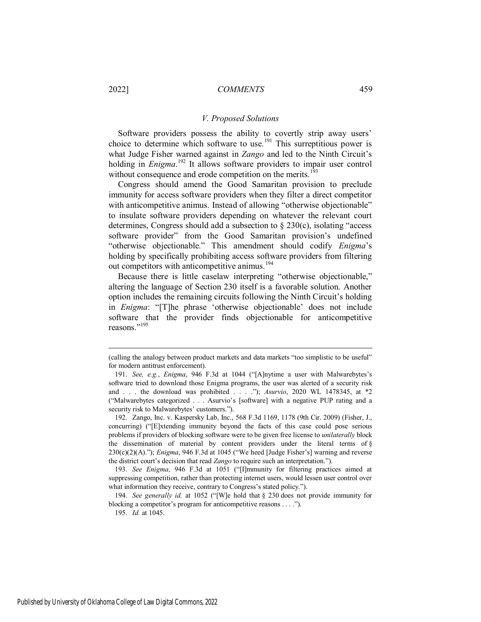## *V. Proposed Solutions*

Software providers possess the ability to covertly strip away users' choice to determine which software to use.<sup>191</sup> This surreptitious power is what Judge Fisher warned against in *Zango* and led to the Ninth Circuit's holding in *Enigma*. <sup>192</sup> It allows software providers to impair user control without consequence and erode competition on the merits.<sup>19</sup>

Congress should amend the Good Samaritan provision to preclude immunity for access software providers when they filter a direct competitor with anticompetitive animus. Instead of allowing "otherwise objectionable" to insulate software providers depending on whatever the relevant court determines, Congress should add a subsection to § 230(c), isolating "access software provider" from the Good Samaritan provision's undefined "otherwise objectionable." This amendment should codify *Enigma*'s holding by specifically prohibiting access software providers from filtering out competitors with anticompetitive animus.<sup>194</sup>

Because there is little caselaw interpreting "otherwise objectionable," altering the language of Section 230 itself is a favorable solution. Another option includes the remaining circuits following the Ninth Circuit's holding in *Enigma*: "[T]he phrase 'otherwise objectionable' does not include software that the provider finds objectionable for anticompetitive reasons."<sup>195</sup>

<sup>(</sup>calling the analogy between product markets and data markets "too simplistic to be useful" for modern antitrust enforcement).

<sup>191.</sup> *See, e.g.*, *Enigma*, 946 F.3d at 1044 ("[A]nytime a user with Malwarebytes's software tried to download those Enigma programs, the user was alerted of a security risk and . . . the download was prohibited . . . ."); *Asurvio*, 2020 WL 1478345, at \*2 ("Malwarebytes categorized . . . Asurvio's [software] with a negative PUP rating and a security risk to Malwarebytes' customers.").

<sup>192.</sup> Zango, Inc. v. Kaspersky Lab, Inc., 568 F.3d 1169, 1178 (9th Cir. 2009) (Fisher, J., concurring) ("[E]xtending immunity beyond the facts of this case could pose serious problems if providers of blocking software were to be given free license to *unilaterally* block the dissemination of material by content providers under the literal terms of  $\S$ 230(c)(2)(A)."); *Enigma*, 946 F.3d at 1045 ("We heed [Judge Fisher's] warning and reverse the district court's decision that read *Zango* to require such an interpretation.").

<sup>193.</sup> *See Enigma*, 946 F.3d at 1051 ("[I]mmunity for filtering practices aimed at suppressing competition, rather than protecting internet users, would lessen user control over what information they receive, contrary to Congress's stated policy.").

<sup>194.</sup> *See generally id.* at 1052 ("[W]e hold that § 230 does not provide immunity for blocking a competitor's program for anticompetitive reasons . . . .").

<sup>195.</sup> *Id.* at 1045.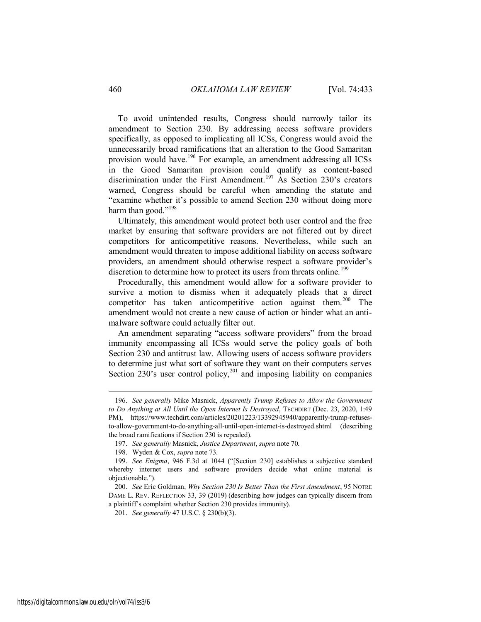To avoid unintended results, Congress should narrowly tailor its amendment to Section 230. By addressing access software providers specifically, as opposed to implicating all ICSs, Congress would avoid the unnecessarily broad ramifications that an alteration to the Good Samaritan provision would have.<sup>196</sup> For example, an amendment addressing all ICSs in the Good Samaritan provision could qualify as content-based discrimination under the First Amendment.<sup>197</sup> As Section 230's creators warned, Congress should be careful when amending the statute and "examine whether it's possible to amend Section 230 without doing more harm than good."<sup>198</sup>

Ultimately, this amendment would protect both user control and the free market by ensuring that software providers are not filtered out by direct competitors for anticompetitive reasons. Nevertheless, while such an amendment would threaten to impose additional liability on access software providers, an amendment should otherwise respect a software provider's discretion to determine how to protect its users from threats online.<sup>199</sup>

Procedurally, this amendment would allow for a software provider to survive a motion to dismiss when it adequately pleads that a direct competitor has taken anticompetitive action against them.<sup>200</sup> The amendment would not create a new cause of action or hinder what an antimalware software could actually filter out.

An amendment separating "access software providers" from the broad immunity encompassing all ICSs would serve the policy goals of both Section 230 and antitrust law. Allowing users of access software providers to determine just what sort of software they want on their computers serves Section 230's user control policy,<sup>201</sup> and imposing liability on companies

<sup>196.</sup> *See generally* Mike Masnick, *Apparently Trump Refuses to Allow the Government to Do Anything at All Until the Open Internet Is Destroyed*, TECHDIRT (Dec. 23, 2020, 1:49 PM), https://www.techdirt.com/articles/20201223/13392945940/apparently-trump-refusesto-allow-government-to-do-anything-all-until-open-internet-is-destroyed.shtml (describing the broad ramifications if Section 230 is repealed).

<sup>197.</sup> *See generally* Masnick, *Justice Department*, *supra* note 70.

<sup>198.</sup> Wyden & Cox, *supra* note 73.

<sup>199.</sup> *See Enigma*, 946 F.3d at 1044 ("[Section 230] establishes a subjective standard whereby internet users and software providers decide what online material is objectionable.").

<sup>200.</sup> *See* Eric Goldman, *Why Section 230 Is Better Than the First Amendment*, 95 NOTRE DAME L. REV. REFLECTION 33, 39 (2019) (describing how judges can typically discern from a plaintiff's complaint whether Section 230 provides immunity).

<sup>201.</sup> *See generally* 47 U.S.C. § 230(b)(3).